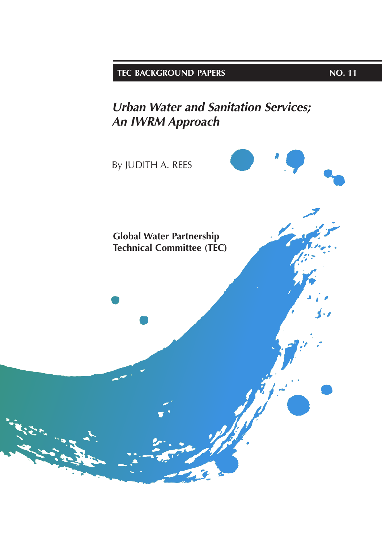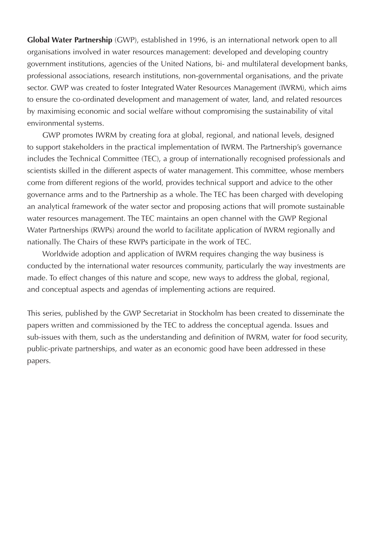**Global Water Partnership** (GWP), established in 1996, is an international network open to all organisations involved in water resources management: developed and developing country government institutions, agencies of the United Nations, bi- and multilateral development banks, professional associations, research institutions, non-governmental organisations, and the private sector. GWP was created to foster Integrated Water Resources Management (IWRM), which aims to ensure the co-ordinated development and management of water, land, and related resources by maximising economic and social welfare without compromising the sustainability of vital environmental systems.

GWP promotes IWRM by creating fora at global, regional, and national levels, designed to support stakeholders in the practical implementation of IWRM. The Partnership's governance includes the Technical Committee (TEC), a group of internationally recognised professionals and scientists skilled in the different aspects of water management. This committee, whose members come from different regions of the world, provides technical support and advice to the other governance arms and to the Partnership as a whole. The TEC has been charged with developing an analytical framework of the water sector and proposing actions that will promote sustainable water resources management. The TEC maintains an open channel with the GWP Regional Water Partnerships (RWPs) around the world to facilitate application of IWRM regionally and nationally. The Chairs of these RWPs participate in the work of TEC.

Worldwide adoption and application of IWRM requires changing the way business is conducted by the international water resources community, particularly the way investments are made. To effect changes of this nature and scope, new ways to address the global, regional, and conceptual aspects and agendas of implementing actions are required.

This series, published by the GWP Secretariat in Stockholm has been created to disseminate the papers written and commissioned by the TEC to address the conceptual agenda. Issues and sub-issues with them, such as the understanding and definition of IWRM, water for food security, public-private partnerships, and water as an economic good have been addressed in these papers.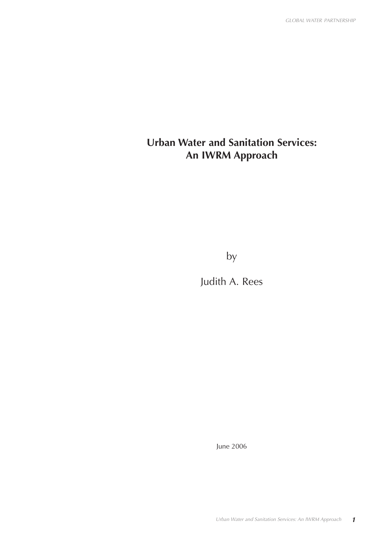## **Urban Water and Sanitation Services: An IWRM Approach**

by

Judith A. Rees

June 2006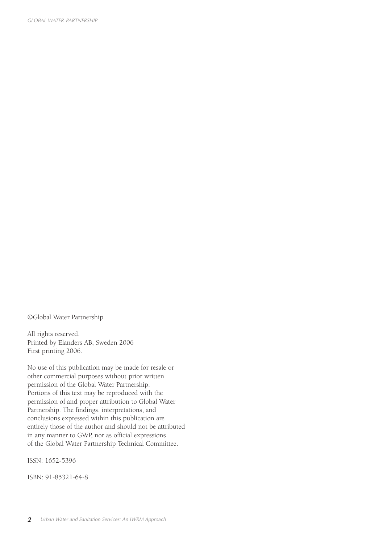©Global Water Partnership

All rights reserved. Printed by Elanders AB, Sweden 2006 First printing 2006.

No use of this publication may be made for resale or other commercial purposes without prior written permission of the Global Water Partnership. Portions of this text may be reproduced with the permission of and proper attribution to Global Water Partnership. The findings, interpretations, and conclusions expressed within this publication are entirely those of the author and should not be attributed in any manner to GWP, nor as official expressions of the Global Water Partnership Technical Committee.

ISSN: 1652-5396

ISBN: 91-85321-64-8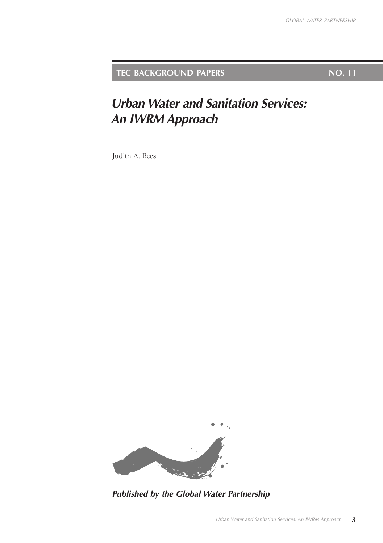## **TEC BACKGROUND PAPERS NO. 11**

# **Urban Water and Sanitation Services: An IWRM Approach**

Judith A. Rees



**Published by the Global Water Partnership**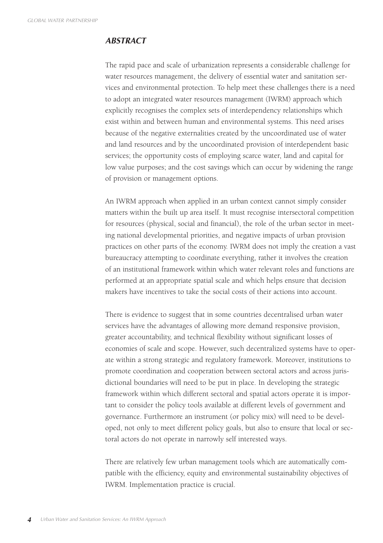#### **ABSTRACT**

The rapid pace and scale of urbanization represents a considerable challenge for water resources management, the delivery of essential water and sanitation services and environmental protection. To help meet these challenges there is a need to adopt an integrated water resources management (IWRM) approach which explicitly recognises the complex sets of interdependency relationships which exist within and between human and environmental systems. This need arises because of the negative externalities created by the uncoordinated use of water and land resources and by the uncoordinated provision of interdependent basic services; the opportunity costs of employing scarce water, land and capital for low value purposes; and the cost savings which can occur by widening the range of provision or management options.

An IWRM approach when applied in an urban context cannot simply consider matters within the built up area itself. It must recognise intersectoral competition for resources (physical, social and financial), the role of the urban sector in meeting national developmental priorities, and negative impacts of urban provision practices on other parts of the economy. IWRM does not imply the creation a vast bureaucracy attempting to coordinate everything, rather it involves the creation of an institutional framework within which water relevant roles and functions are performed at an appropriate spatial scale and which helps ensure that decision makers have incentives to take the social costs of their actions into account.

There is evidence to suggest that in some countries decentralised urban water services have the advantages of allowing more demand responsive provision, greater accountability, and technical flexibility without significant losses of economies of scale and scope. However, such decentralized systems have to operate within a strong strategic and regulatory framework. Moreover, institutions to promote coordination and cooperation between sectoral actors and across jurisdictional boundaries will need to be put in place. In developing the strategic framework within which different sectoral and spatial actors operate it is important to consider the policy tools available at different levels of government and governance. Furthermore an instrument (or policy mix) will need to be developed, not only to meet different policy goals, but also to ensure that local or sectoral actors do not operate in narrowly self interested ways.

There are relatively few urban management tools which are automatically compatible with the efficiency, equity and environmental sustainability objectives of IWRM. Implementation practice is crucial.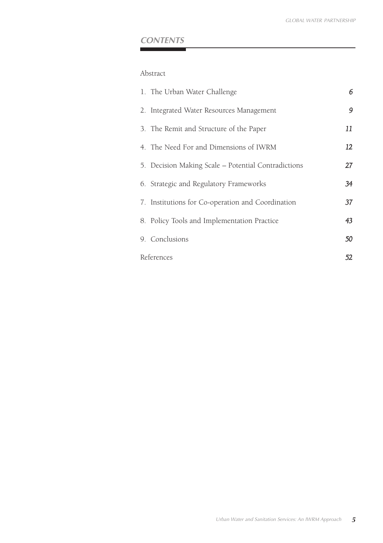## **CONTENTS**

#### Abstract

|            | 1. The Urban Water Challenge                        | 6  |
|------------|-----------------------------------------------------|----|
|            | 2. Integrated Water Resources Management            | 9  |
|            | 3. The Remit and Structure of the Paper             | 11 |
|            | 4. The Need For and Dimensions of IWRM              | 12 |
|            | 5. Decision Making Scale - Potential Contradictions | 27 |
|            | 6. Strategic and Regulatory Frameworks              | 34 |
|            | 7. Institutions for Co-operation and Coordination   | 37 |
|            | 8. Policy Tools and Implementation Practice         | 43 |
|            | 9. Conclusions                                      | 50 |
| References |                                                     | 52 |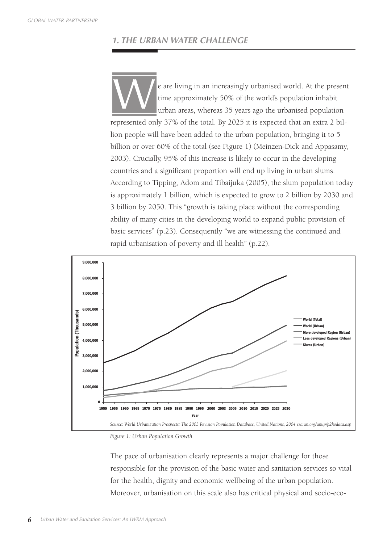#### **1. THE URBAN WATER CHALLENGE**

e are living in an increasingly urbanised world. At the present time approximately 50% of the world's population inhabit urban areas, whereas 35 years ago the urbanised population represented only 37% of the total. By 2025 it is expected that an extra 2 billion people will have been added to the urban population, bringing it to 5 billion or over 60% of the total (see Figure 1) (Meinzen-Dick and Appasamy, 2003). Crucially, 95% of this increase is likely to occur in the developing countries and a significant proportion will end up living in urban slums. According to Tipping, Adom and Tibaijuka (2005), the slum population today is approximately 1 billion, which is expected to grow to 2 billion by 2030 and 3 billion by 2050. This "growth is taking place without the corresponding ability of many cities in the developing world to expand public provision of basic services" (p.23). Consequently "we are witnessing the continued and rapid urbanisation of poverty and ill health" (p.22). W



*Figure 1: Urban Population Growth*

The pace of urbanisation clearly represents a major challenge for those responsible for the provision of the basic water and sanitation services so vital for the health, dignity and economic wellbeing of the urban population. Moreover, urbanisation on this scale also has critical physical and socio-eco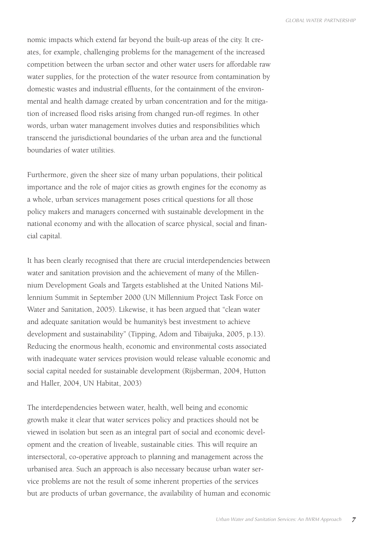nomic impacts which extend far beyond the built-up areas of the city. It creates, for example, challenging problems for the management of the increased competition between the urban sector and other water users for affordable raw water supplies, for the protection of the water resource from contamination by domestic wastes and industrial effluents, for the containment of the environmental and health damage created by urban concentration and for the mitigation of increased flood risks arising from changed run-off regimes. In other words, urban water management involves duties and responsibilities which transcend the jurisdictional boundaries of the urban area and the functional boundaries of water utilities.

Furthermore, given the sheer size of many urban populations, their political importance and the role of major cities as growth engines for the economy as a whole, urban services management poses critical questions for all those policy makers and managers concerned with sustainable development in the national economy and with the allocation of scarce physical, social and financial capital.

It has been clearly recognised that there are crucial interdependencies between water and sanitation provision and the achievement of many of the Millennium Development Goals and Targets established at the United Nations Millennium Summit in September 2000 (UN Millennium Project Task Force on Water and Sanitation, 2005). Likewise, it has been argued that "clean water and adequate sanitation would be humanity's best investment to achieve development and sustainability" (Tipping, Adom and Tibaijuka, 2005, p.13). Reducing the enormous health, economic and environmental costs associated with inadequate water services provision would release valuable economic and social capital needed for sustainable development (Rijsberman, 2004, Hutton and Haller, 2004, UN Habitat, 2003)

The interdependencies between water, health, well being and economic growth make it clear that water services policy and practices should not be viewed in isolation but seen as an integral part of social and economic development and the creation of liveable, sustainable cities. This will require an intersectoral, co-operative approach to planning and management across the urbanised area. Such an approach is also necessary because urban water service problems are not the result of some inherent properties of the services but are products of urban governance, the availability of human and economic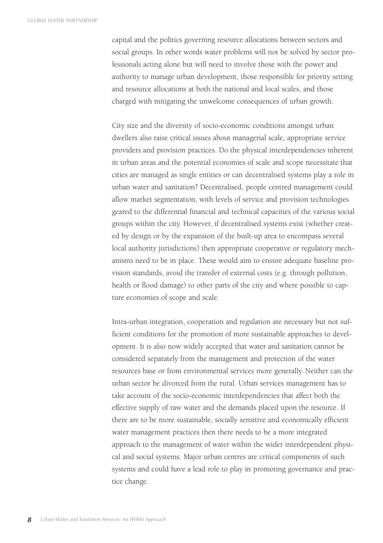capital and the politics governing resource allocations between sectors and social groups. In other words water problems will not be solved by sector professionals acting alone but will need to involve those with the power and authority to manage urban development, those responsible for priority setting and resource allocations at both the national and local scales, and those charged with mitigating the unwelcome consequences of urban growth.

City size and the diversity of socio-economic conditions amongst urban dwellers also raise critical issues about managerial scale, appropriate service providers and provision practices. Do the physical interdependencies inherent in urban areas and the potential economies of scale and scope necessitate that cities are managed as single entities or can decentralised systems play a role in urban water and sanitation? Decentralised, people centred management could allow market segmentation, with levels of service and provision technologies geared to the differential financial and technical capacities of the various social groups within the city. However, if decentralised systems exist (whether created by design or by the expansion of the built-up area to encompass several local authority jurisdictions) then appropriate cooperative or regulatory mechanisms need to be in place. These would aim to ensure adequate baseline provision standards, avoid the transfer of external costs (e.g. through pollution, health or flood damage) to other parts of the city and where possible to capture economies of scope and scale.

Intra-urban integration, cooperation and regulation are necessary but not sufficient conditions for the promotion of more sustainable approaches to development. It is also now widely accepted that water and sanitation cannot be considered separately from the management and protection of the water resources base or from environmental services more generally. Neither can the urban sector be divorced from the rural. Urban services management has to take account of the socio-economic interdependencies that affect both the effective supply of raw water and the demands placed upon the resource. If there are to be more sustainable, socially sensitive and economically efficient water management practices then there needs to be a more integrated approach to the management of water within the wider interdependent physical and social systems. Major urban centres are critical components of such systems and could have a lead role to play in promoting governance and practice change.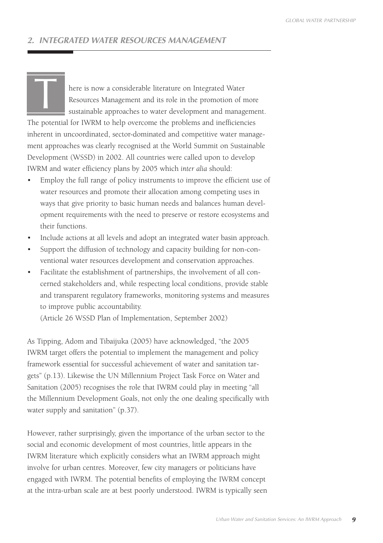here is now a considerable literature on Integrated Water Resources Management and its role in the promotion of more sustainable approaches to water development and management.

The potential for IWRM to help overcome the problems and inefficiencies inherent in uncoordinated, sector-dominated and competitive water management approaches was clearly recognised at the World Summit on Sustainable Development (WSSD) in 2002. All countries were called upon to develop IWRM and water efficiency plans by 2005 which *inter alia* should: T

- Employ the full range of policy instruments to improve the efficient use of water resources and promote their allocation among competing uses in ways that give priority to basic human needs and balances human development requirements with the need to preserve or restore ecosystems and their functions.
- Include actions at all levels and adopt an integrated water basin approach.
- Support the diffusion of technology and capacity building for non-conventional water resources development and conservation approaches.
- Facilitate the establishment of partnerships, the involvement of all concerned stakeholders and, while respecting local conditions, provide stable and transparent regulatory frameworks, monitoring systems and measures to improve public accountability.

(Article 26 WSSD Plan of Implementation, September 2002)

As Tipping, Adom and Tibaijuka (2005) have acknowledged, "the 2005 IWRM target offers the potential to implement the management and policy framework essential for successful achievement of water and sanitation targets" (p.13). Likewise the UN Millennium Project Task Force on Water and Sanitation (2005) recognises the role that IWRM could play in meeting "all the Millennium Development Goals, not only the one dealing specifically with water supply and sanitation" (p.37).

However, rather surprisingly, given the importance of the urban sector to the social and economic development of most countries, little appears in the IWRM literature which explicitly considers what an IWRM approach might involve for urban centres. Moreover, few city managers or politicians have engaged with IWRM. The potential benefits of employing the IWRM concept at the intra-urban scale are at best poorly understood. IWRM is typically seen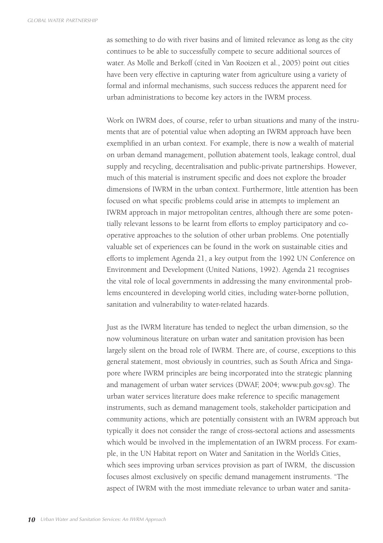as something to do with river basins and of limited relevance as long as the city continues to be able to successfully compete to secure additional sources of water. As Molle and Berkoff (cited in Van Rooizen et al., 2005) point out cities have been very effective in capturing water from agriculture using a variety of formal and informal mechanisms, such success reduces the apparent need for urban administrations to become key actors in the IWRM process.

Work on IWRM does, of course, refer to urban situations and many of the instruments that are of potential value when adopting an IWRM approach have been exemplified in an urban context. For example, there is now a wealth of material on urban demand management, pollution abatement tools, leakage control, dual supply and recycling, decentralisation and public-private partnerships. However, much of this material is instrument specific and does not explore the broader dimensions of IWRM in the urban context. Furthermore, little attention has been focused on what specific problems could arise in attempts to implement an IWRM approach in major metropolitan centres, although there are some potentially relevant lessons to be learnt from efforts to employ participatory and cooperative approaches to the solution of other urban problems. One potentially valuable set of experiences can be found in the work on sustainable cities and efforts to implement Agenda 21, a key output from the 1992 UN Conference on Environment and Development (United Nations, 1992). Agenda 21 recognises the vital role of local governments in addressing the many environmental problems encountered in developing world cities, including water-borne pollution, sanitation and vulnerability to water-related hazards.

Just as the IWRM literature has tended to neglect the urban dimension, so the now voluminous literature on urban water and sanitation provision has been largely silent on the broad role of IWRM. There are, of course, exceptions to this general statement, most obviously in countries, such as South Africa and Singapore where IWRM principles are being incorporated into the strategic planning and management of urban water services (DWAF, 2004; www.pub.gov.sg). The urban water services literature does make reference to specific management instruments, such as demand management tools, stakeholder participation and community actions, which are potentially consistent with an IWRM approach but typically it does not consider the range of cross-sectoral actions and assessments which would be involved in the implementation of an IWRM process. For example, in the UN Habitat report on Water and Sanitation in the World's Cities, which sees improving urban services provision as part of IWRM, the discussion focuses almost exclusively on specific demand management instruments. "The aspect of IWRM with the most immediate relevance to urban water and sanita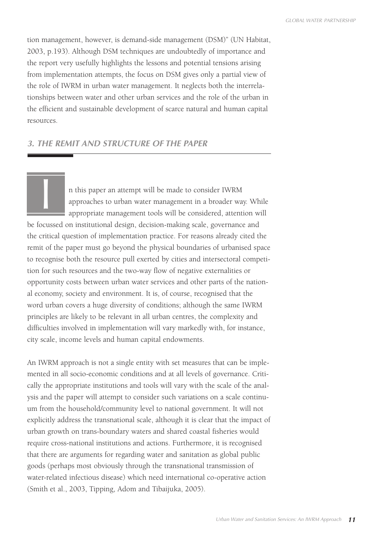tion management, however, is demand-side management (DSM)" (UN Habitat, 2003, p.193). Although DSM techniques are undoubtedly of importance and the report very usefully highlights the lessons and potential tensions arising from implementation attempts, the focus on DSM gives only a partial view of the role of IWRM in urban water management. It neglects both the interrelationships between water and other urban services and the role of the urban in the efficient and sustainable development of scarce natural and human capital resources.

## **3. THE REMIT AND STRUCTURE OF THE PAPER**

n this paper an attempt will be made to consider IWRM approaches to urban water management in a broader way. While appropriate management tools will be considered, attention will be focussed on institutional design, decision-making scale, governance and the critical question of implementation practice. For reasons already cited the remit of the paper must go beyond the physical boundaries of urbanised space to recognise both the resource pull exerted by cities and intersectoral competition for such resources and the two-way flow of negative externalities or opportunity costs between urban water services and other parts of the national economy, society and environment. It is, of course, recognised that the word urban covers a huge diversity of conditions; although the same IWRM principles are likely to be relevant in all urban centres, the complexity and difficulties involved in implementation will vary markedly with, for instance, city scale, income levels and human capital endowments. I

An IWRM approach is not a single entity with set measures that can be implemented in all socio-economic conditions and at all levels of governance. Critically the appropriate institutions and tools will vary with the scale of the analysis and the paper will attempt to consider such variations on a scale continuum from the household/community level to national government. It will not explicitly address the transnational scale, although it is clear that the impact of urban growth on trans-boundary waters and shared coastal fisheries would require cross-national institutions and actions. Furthermore, it is recognised that there are arguments for regarding water and sanitation as global public goods (perhaps most obviously through the transnational transmission of water-related infectious disease) which need international co-operative action (Smith et al., 2003, Tipping, Adom and Tibaijuka, 2005).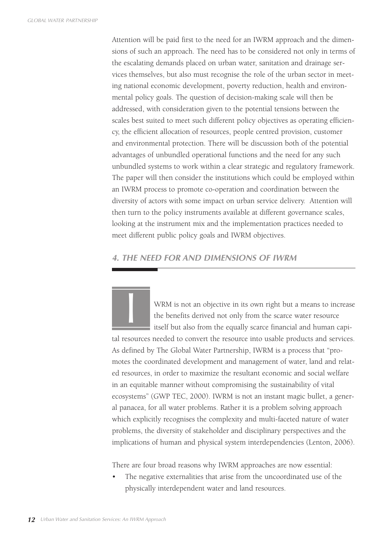Attention will be paid first to the need for an IWRM approach and the dimensions of such an approach. The need has to be considered not only in terms of the escalating demands placed on urban water, sanitation and drainage services themselves, but also must recognise the role of the urban sector in meeting national economic development, poverty reduction, health and environmental policy goals. The question of decision-making scale will then be addressed, with consideration given to the potential tensions between the scales best suited to meet such different policy objectives as operating efficiency, the efficient allocation of resources, people centred provision, customer and environmental protection. There will be discussion both of the potential advantages of unbundled operational functions and the need for any such unbundled systems to work within a clear strategic and regulatory framework. The paper will then consider the institutions which could be employed within an IWRM process to promote co-operation and coordination between the diversity of actors with some impact on urban service delivery. Attention will then turn to the policy instruments available at different governance scales, looking at the instrument mix and the implementation practices needed to meet different public policy goals and IWRM objectives.

#### **4. THE NEED FOR AND DIMENSIONS OF IWRM**

WRM is not an objective in its own right but a means to increase the benefits derived not only from the scarce water resource itself but also from the equally scarce financial and human capital resources needed to convert the resource into usable products and services. As defined by The Global Water Partnership, IWRM is a process that "promotes the coordinated development and management of water, land and related resources, in order to maximize the resultant economic and social welfare in an equitable manner without compromising the sustainability of vital ecosystems" (GWP TEC, 2000). IWRM is not an instant magic bullet, a general panacea, for all water problems. Rather it is a problem solving approach which explicitly recognises the complexity and multi-faceted nature of water problems, the diversity of stakeholder and disciplinary perspectives and the implications of human and physical system interdependencies (Lenton, 2006). I

There are four broad reasons why IWRM approaches are now essential:

The negative externalities that arise from the uncoordinated use of the physically interdependent water and land resources.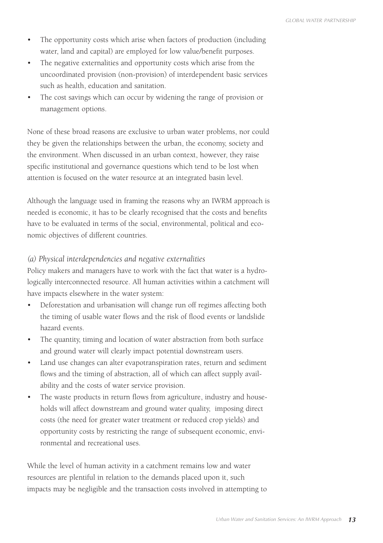- The opportunity costs which arise when factors of production (including water, land and capital) are employed for low value/benefit purposes.
- The negative externalities and opportunity costs which arise from the uncoordinated provision (non-provision) of interdependent basic services such as health, education and sanitation.
- The cost savings which can occur by widening the range of provision or management options.

None of these broad reasons are exclusive to urban water problems, nor could they be given the relationships between the urban, the economy, society and the environment. When discussed in an urban context, however, they raise specific institutional and governance questions which tend to be lost when attention is focused on the water resource at an integrated basin level.

Although the language used in framing the reasons why an IWRM approach is needed is economic, it has to be clearly recognised that the costs and benefits have to be evaluated in terms of the social, environmental, political and economic objectives of different countries.

## *(a) Physical interdependencies and negative externalities*

Policy makers and managers have to work with the fact that water is a hydrologically interconnected resource. All human activities within a catchment will have impacts elsewhere in the water system:

- Deforestation and urbanisation will change run off regimes affecting both the timing of usable water flows and the risk of flood events or landslide hazard events.
- The quantity, timing and location of water abstraction from both surface and ground water will clearly impact potential downstream users.
- Land use changes can alter evapotranspiration rates, return and sediment flows and the timing of abstraction, all of which can affect supply availability and the costs of water service provision.
- The waste products in return flows from agriculture, industry and households will affect downstream and ground water quality, imposing direct costs (the need for greater water treatment or reduced crop yields) and opportunity costs by restricting the range of subsequent economic, environmental and recreational uses.

While the level of human activity in a catchment remains low and water resources are plentiful in relation to the demands placed upon it, such impacts may be negligible and the transaction costs involved in attempting to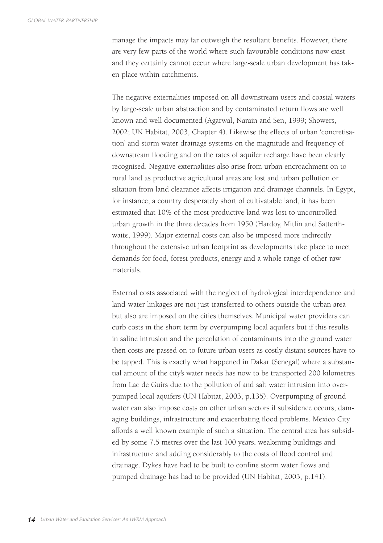manage the impacts may far outweigh the resultant benefits. However, there are very few parts of the world where such favourable conditions now exist and they certainly cannot occur where large-scale urban development has taken place within catchments.

The negative externalities imposed on all downstream users and coastal waters by large-scale urban abstraction and by contaminated return flows are well known and well documented (Agarwal, Narain and Sen, 1999; Showers, 2002; UN Habitat, 2003, Chapter 4). Likewise the effects of urban 'concretisation' and storm water drainage systems on the magnitude and frequency of downstream flooding and on the rates of aquifer recharge have been clearly recognised. Negative externalities also arise from urban encroachment on to rural land as productive agricultural areas are lost and urban pollution or siltation from land clearance affects irrigation and drainage channels. In Egypt, for instance, a country desperately short of cultivatable land, it has been estimated that 10% of the most productive land was lost to uncontrolled urban growth in the three decades from 1950 (Hardoy, Mitlin and Satterthwaite, 1999). Major external costs can also be imposed more indirectly throughout the extensive urban footprint as developments take place to meet demands for food, forest products, energy and a whole range of other raw materials.

External costs associated with the neglect of hydrological interdependence and land-water linkages are not just transferred to others outside the urban area but also are imposed on the cities themselves. Municipal water providers can curb costs in the short term by overpumping local aquifers but if this results in saline intrusion and the percolation of contaminants into the ground water then costs are passed on to future urban users as costly distant sources have to be tapped. This is exactly what happened in Dakar (Senegal) where a substantial amount of the city's water needs has now to be transported 200 kilometres from Lac de Guirs due to the pollution of and salt water intrusion into overpumped local aquifers (UN Habitat, 2003, p.135). Overpumping of ground water can also impose costs on other urban sectors if subsidence occurs, damaging buildings, infrastructure and exacerbating flood problems. Mexico City affords a well known example of such a situation. The central area has subsided by some 7.5 metres over the last 100 years, weakening buildings and infrastructure and adding considerably to the costs of flood control and drainage. Dykes have had to be built to confine storm water flows and pumped drainage has had to be provided (UN Habitat, 2003, p.141).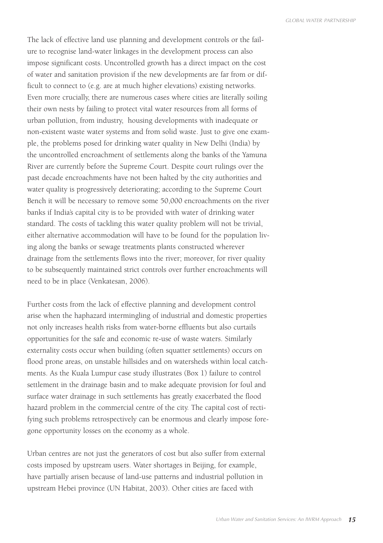The lack of effective land use planning and development controls or the failure to recognise land-water linkages in the development process can also impose significant costs. Uncontrolled growth has a direct impact on the cost of water and sanitation provision if the new developments are far from or difficult to connect to (e.g. are at much higher elevations) existing networks. Even more crucially, there are numerous cases where cities are literally soiling their own nests by failing to protect vital water resources from all forms of urban pollution, from industry, housing developments with inadequate or non-existent waste water systems and from solid waste. Just to give one example, the problems posed for drinking water quality in New Delhi (India) by the uncontrolled encroachment of settlements along the banks of the Yamuna River are currently before the Supreme Court. Despite court rulings over the past decade encroachments have not been halted by the city authorities and water quality is progressively deteriorating; according to the Supreme Court Bench it will be necessary to remove some 50,000 encroachments on the river banks if India's capital city is to be provided with water of drinking water standard. The costs of tackling this water quality problem will not be trivial, either alternative accommodation will have to be found for the population living along the banks or sewage treatments plants constructed wherever drainage from the settlements flows into the river; moreover, for river quality to be subsequently maintained strict controls over further encroachments will need to be in place (Venkatesan, 2006).

Further costs from the lack of effective planning and development control arise when the haphazard intermingling of industrial and domestic properties not only increases health risks from water-borne effluents but also curtails opportunities for the safe and economic re-use of waste waters. Similarly externality costs occur when building (often squatter settlements) occurs on flood prone areas, on unstable hillsides and on watersheds within local catchments. As the Kuala Lumpur case study illustrates (Box 1) failure to control settlement in the drainage basin and to make adequate provision for foul and surface water drainage in such settlements has greatly exacerbated the flood hazard problem in the commercial centre of the city. The capital cost of rectifying such problems retrospectively can be enormous and clearly impose foregone opportunity losses on the economy as a whole.

Urban centres are not just the generators of cost but also suffer from external costs imposed by upstream users. Water shortages in Beijing, for example, have partially arisen because of land-use patterns and industrial pollution in upstream Hebei province (UN Habitat, 2003). Other cities are faced with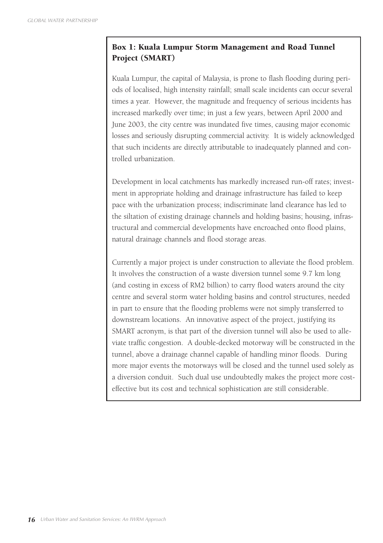## Box 1: Kuala Lumpur Storm Management and Road Tunnel Project (SMART)

Kuala Lumpur, the capital of Malaysia, is prone to flash flooding during periods of localised, high intensity rainfall; small scale incidents can occur several times a year. However, the magnitude and frequency of serious incidents has increased markedly over time; in just a few years, between April 2000 and June 2003, the city centre was inundated five times, causing major economic losses and seriously disrupting commercial activity. It is widely acknowledged that such incidents are directly attributable to inadequately planned and controlled urbanization.

Development in local catchments has markedly increased run-off rates; investment in appropriate holding and drainage infrastructure has failed to keep pace with the urbanization process; indiscriminate land clearance has led to the siltation of existing drainage channels and holding basins; housing, infrastructural and commercial developments have encroached onto flood plains, natural drainage channels and flood storage areas.

Currently a major project is under construction to alleviate the flood problem. It involves the construction of a waste diversion tunnel some 9.7 km long (and costing in excess of RM2 billion) to carry flood waters around the city centre and several storm water holding basins and control structures, needed in part to ensure that the flooding problems were not simply transferred to downstream locations. An innovative aspect of the project, justifying its SMART acronym, is that part of the diversion tunnel will also be used to alleviate traffic congestion. A double-decked motorway will be constructed in the tunnel, above a drainage channel capable of handling minor floods. During more major events the motorways will be closed and the tunnel used solely as a diversion conduit. Such dual use undoubtedly makes the project more costeffective but its cost and technical sophistication are still considerable.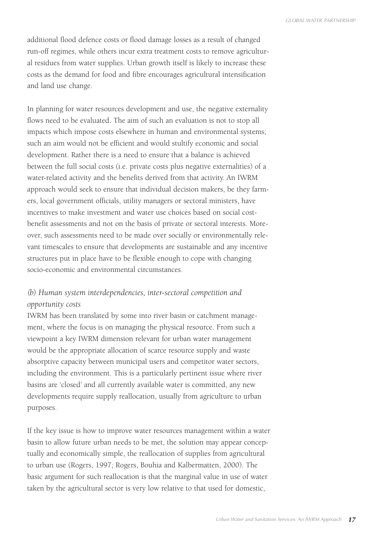additional flood defence costs or flood damage losses as a result of changed run-off regimes, while others incur extra treatment costs to remove agricultural residues from water supplies. Urban growth itself is likely to increase these costs as the demand for food and fibre encourages agricultural intensification and land use change.

In planning for water resources development and use, the negative externality flows need to be evaluated. The aim of such an evaluation is not to stop all impacts which impose costs elsewhere in human and environmental systems; such an aim would not be efficient and would stultify economic and social development. Rather there is a need to ensure that a balance is achieved between the full social costs (i.e. private costs plus negative externalities) of a water-related activity and the benefits derived from that activity. An IWRM approach would seek to ensure that individual decision makers, be they farmers, local government officials, utility managers or sectoral ministers, have incentives to make investment and water use choices based on social costbenefit assessments and not on the basis of private or sectoral interests. Moreover, such assessments need to be made over socially or environmentally relevant timescales to ensure that developments are sustainable and any incentive structures put in place have to be flexible enough to cope with changing socio-economic and environmental circumstances.

## *(b) Human system interdependencies, inter-sectoral competition and opportunity costs*

IWRM has been translated by some into river basin or catchment management, where the focus is on managing the physical resource. From such a viewpoint a key IWRM dimension relevant for urban water management would be the appropriate allocation of scarce resource supply and waste absorptive capacity between municipal users and competitor water sectors, including the environment. This is a particularly pertinent issue where river basins are 'closed' and all currently available water is committed, any new developments require supply reallocation, usually from agriculture to urban purposes.

If the key issue is how to improve water resources management within a water basin to allow future urban needs to be met, the solution may appear conceptually and economically simple, the reallocation of supplies from agricultural to urban use (Rogers, 1997; Rogers, Bouhia and Kalbermatten, 2000). The basic argument for such reallocation is that the marginal value in use of water taken by the agricultural sector is very low relative to that used for domestic,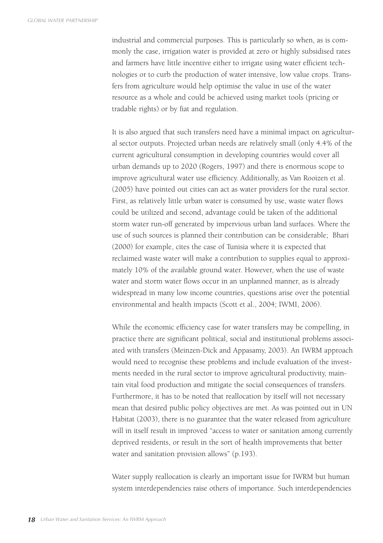industrial and commercial purposes. This is particularly so when, as is commonly the case, irrigation water is provided at zero or highly subsidised rates and farmers have little incentive either to irrigate using water efficient technologies or to curb the production of water intensive, low value crops. Transfers from agriculture would help optimise the value in use of the water resource as a whole and could be achieved using market tools (pricing or tradable rights) or by fiat and regulation.

It is also argued that such transfers need have a minimal impact on agricultural sector outputs. Projected urban needs are relatively small (only 4.4% of the current agricultural consumption in developing countries would cover all urban demands up to 2020 (Rogers, 1997) and there is enormous scope to improve agricultural water use efficiency. Additionally, as Van Rooizen et al. (2005) have pointed out cities can act as water providers for the rural sector. First, as relatively little urban water is consumed by use, waste water flows could be utilized and second, advantage could be taken of the additional storm water run-off generated by impervious urban land surfaces. Where the use of such sources is planned their contribution can be considerable; Bhari (2000) for example, cites the case of Tunisia where it is expected that reclaimed waste water will make a contribution to supplies equal to approximately 10% of the available ground water. However, when the use of waste water and storm water flows occur in an unplanned manner, as is already widespread in many low income countries, questions arise over the potential environmental and health impacts (Scott et al., 2004; IWMI, 2006).

While the economic efficiency case for water transfers may be compelling, in practice there are significant political, social and institutional problems associated with transfers (Meinzen-Dick and Appasamy, 2003). An IWRM approach would need to recognise these problems and include evaluation of the investments needed in the rural sector to improve agricultural productivity, maintain vital food production and mitigate the social consequences of transfers. Furthermore, it has to be noted that reallocation by itself will not necessary mean that desired public policy objectives are met. As was pointed out in UN Habitat (2003), there is no guarantee that the water released from agriculture will in itself result in improved "access to water or sanitation among currently deprived residents, or result in the sort of health improvements that better water and sanitation provision allows" (p.193).

Water supply reallocation is clearly an important issue for IWRM but human system interdependencies raise others of importance. Such interdependencies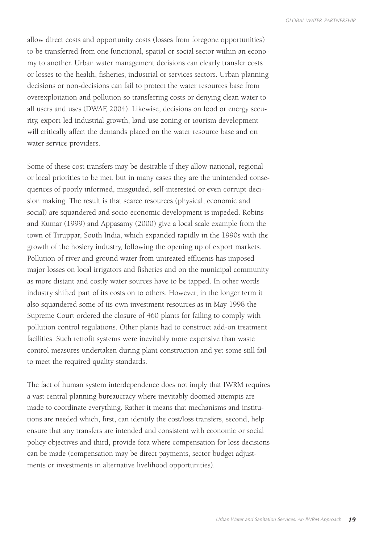allow direct costs and opportunity costs (losses from foregone opportunities) to be transferred from one functional, spatial or social sector within an economy to another. Urban water management decisions can clearly transfer costs or losses to the health, fisheries, industrial or services sectors. Urban planning decisions or non-decisions can fail to protect the water resources base from overexploitation and pollution so transferring costs or denying clean water to all users and uses (DWAF, 2004). Likewise, decisions on food or energy security, export-led industrial growth, land-use zoning or tourism development will critically affect the demands placed on the water resource base and on water service providers.

Some of these cost transfers may be desirable if they allow national, regional or local priorities to be met, but in many cases they are the unintended consequences of poorly informed, misguided, self-interested or even corrupt decision making. The result is that scarce resources (physical, economic and social) are squandered and socio-economic development is impeded. Robins and Kumar (1999) and Appasamy (2000) give a local scale example from the town of Tiruppar, South India, which expanded rapidly in the 1990s with the growth of the hosiery industry, following the opening up of export markets. Pollution of river and ground water from untreated effluents has imposed major losses on local irrigators and fisheries and on the municipal community as more distant and costly water sources have to be tapped. In other words industry shifted part of its costs on to others. However, in the longer term it also squandered some of its own investment resources as in May 1998 the Supreme Court ordered the closure of 460 plants for failing to comply with pollution control regulations. Other plants had to construct add-on treatment facilities. Such retrofit systems were inevitably more expensive than waste control measures undertaken during plant construction and yet some still fail to meet the required quality standards.

The fact of human system interdependence does not imply that IWRM requires a vast central planning bureaucracy where inevitably doomed attempts are made to coordinate everything. Rather it means that mechanisms and institutions are needed which, first, can identify the cost/loss transfers, second, help ensure that any transfers are intended and consistent with economic or social policy objectives and third, provide fora where compensation for loss decisions can be made (compensation may be direct payments, sector budget adjustments or investments in alternative livelihood opportunities).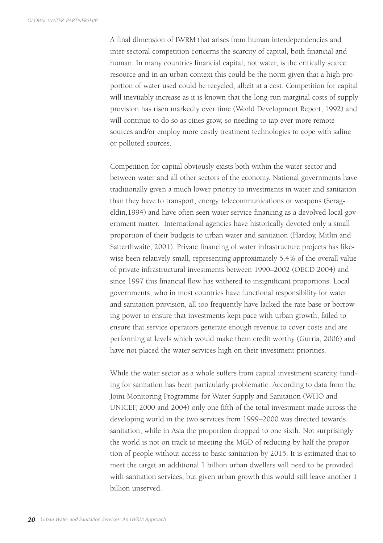A final dimension of IWRM that arises from human interdependencies and inter-sectoral competition concerns the scarcity of capital, both financial and human. In many countries financial capital, not water, is the critically scarce resource and in an urban context this could be the norm given that a high proportion of water used could be recycled, albeit at a cost. Competition for capital will inevitably increase as it is known that the long-run marginal costs of supply provision has risen markedly over time (World Development Report, 1992) and will continue to do so as cities grow, so needing to tap ever more remote sources and/or employ more costly treatment technologies to cope with saline or polluted sources.

Competition for capital obviously exists both within the water sector and between water and all other sectors of the economy. National governments have traditionally given a much lower priority to investments in water and sanitation than they have to transport, energy, telecommunications or weapons (Serageldin,1994) and have often seen water service financing as a devolved local government matter. International agencies have historically devoted only a small proportion of their budgets to urban water and sanitation (Hardoy, Mitlin and Satterthwaite, 2001). Private financing of water infrastructure projects has likewise been relatively small, representing approximately 5.4% of the overall value of private infrastructural investments between 1990–2002 (OECD 2004) and since 1997 this financial flow has withered to insignificant proportions. Local governments, who in most countries have functional responsibility for water and sanitation provision, all too frequently have lacked the rate base or borrowing power to ensure that investments kept pace with urban growth, failed to ensure that service operators generate enough revenue to cover costs and are performing at levels which would make them credit worthy (Gurria, 2006) and have not placed the water services high on their investment priorities.

While the water sector as a whole suffers from capital investment scarcity, funding for sanitation has been particularly problematic. According to data from the Joint Monitoring Programme for Water Supply and Sanitation (WHO and UNICEF, 2000 and 2004) only one fifth of the total investment made across the developing world in the two services from 1999–2000 was directed towards sanitation, while in Asia the proportion dropped to one sixth. Not surprisingly the world is not on track to meeting the MGD of reducing by half the proportion of people without access to basic sanitation by 2015. It is estimated that to meet the target an additional 1 billion urban dwellers will need to be provided with sanitation services, but given urban growth this would still leave another 1 billion unserved.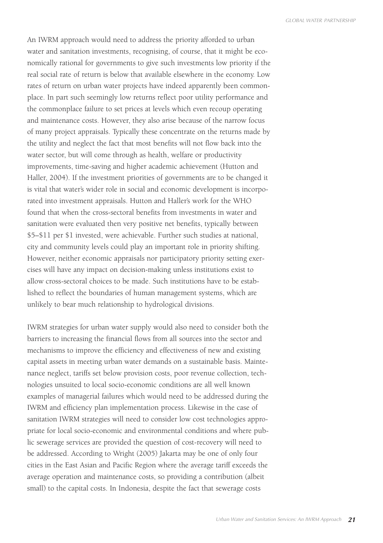An IWRM approach would need to address the priority afforded to urban water and sanitation investments, recognising, of course, that it might be economically rational for governments to give such investments low priority if the real social rate of return is below that available elsewhere in the economy. Low rates of return on urban water projects have indeed apparently been commonplace. In part such seemingly low returns reflect poor utility performance and the commonplace failure to set prices at levels which even recoup operating and maintenance costs. However, they also arise because of the narrow focus of many project appraisals. Typically these concentrate on the returns made by the utility and neglect the fact that most benefits will not flow back into the water sector, but will come through as health, welfare or productivity improvements, time-saving and higher academic achievement (Hutton and Haller, 2004). If the investment priorities of governments are to be changed it is vital that water's wider role in social and economic development is incorporated into investment appraisals. Hutton and Haller's work for the WHO found that when the cross-sectoral benefits from investments in water and sanitation were evaluated then very positive net benefits, typically between \$5–\$11 per \$1 invested, were achievable. Further such studies at national, city and community levels could play an important role in priority shifting. However, neither economic appraisals nor participatory priority setting exercises will have any impact on decision-making unless institutions exist to allow cross-sectoral choices to be made. Such institutions have to be established to reflect the boundaries of human management systems, which are unlikely to bear much relationship to hydrological divisions.

IWRM strategies for urban water supply would also need to consider both the barriers to increasing the financial flows from all sources into the sector and mechanisms to improve the efficiency and effectiveness of new and existing capital assets in meeting urban water demands on a sustainable basis. Maintenance neglect, tariffs set below provision costs, poor revenue collection, technologies unsuited to local socio-economic conditions are all well known examples of managerial failures which would need to be addressed during the IWRM and efficiency plan implementation process. Likewise in the case of sanitation IWRM strategies will need to consider low cost technologies appropriate for local socio-economic and environmental conditions and where public sewerage services are provided the question of cost-recovery will need to be addressed. According to Wright (2005) Jakarta may be one of only four cities in the East Asian and Pacific Region where the average tariff exceeds the average operation and maintenance costs, so providing a contribution (albeit small) to the capital costs. In Indonesia, despite the fact that sewerage costs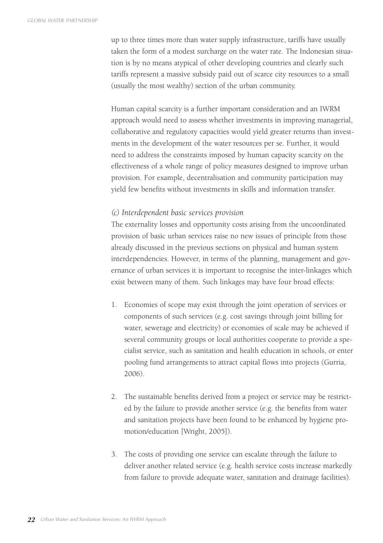up to three times more than water supply infrastructure, tariffs have usually taken the form of a modest surcharge on the water rate. The Indonesian situation is by no means atypical of other developing countries and clearly such tariffs represent a massive subsidy paid out of scarce city resources to a small (usually the most wealthy) section of the urban community.

Human capital scarcity is a further important consideration and an IWRM approach would need to assess whether investments in improving managerial, collaborative and regulatory capacities would yield greater returns than investments in the development of the water resources per se. Further, it would need to address the constraints imposed by human capacity scarcity on the effectiveness of a whole range of policy measures designed to improve urban provision. For example, decentralisation and community participation may yield few benefits without investments in skills and information transfer.

#### *(c) Interdependent basic services provision*

The externality losses and opportunity costs arising from the uncoordinated provision of basic urban services raise no new issues of principle from those already discussed in the previous sections on physical and human system interdependencies. However, in terms of the planning, management and governance of urban services it is important to recognise the inter-linkages which exist between many of them. Such linkages may have four broad effects:

- 1. Economies of scope may exist through the joint operation of services or components of such services (e.g. cost savings through joint billing for water, sewerage and electricity) or economies of scale may be achieved if several community groups or local authorities cooperate to provide a specialist service, such as sanitation and health education in schools, or enter pooling fund arrangements to attract capital flows into projects (Gurria, 2006).
- 2. The sustainable benefits derived from a project or service may be restricted by the failure to provide another service (e.g. the benefits from water and sanitation projects have been found to be enhanced by hygiene promotion/education [Wright, 2005]).
- 3. The costs of providing one service can escalate through the failure to deliver another related service (e.g. health service costs increase markedly from failure to provide adequate water, sanitation and drainage facilities).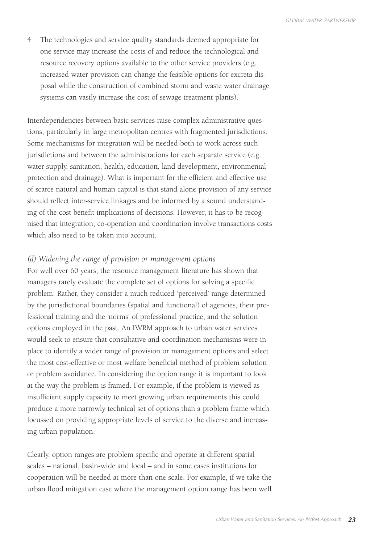4. The technologies and service quality standards deemed appropriate for one service may increase the costs of and reduce the technological and resource recovery options available to the other service providers (e.g. increased water provision can change the feasible options for excreta disposal while the construction of combined storm and waste water drainage systems can vastly increase the cost of sewage treatment plants).

Interdependencies between basic services raise complex administrative questions, particularly in large metropolitan centres with fragmented jurisdictions. Some mechanisms for integration will be needed both to work across such jurisdictions and between the administrations for each separate service (e.g. water supply, sanitation, health, education, land development, environmental protection and drainage). What is important for the efficient and effective use of scarce natural and human capital is that stand alone provision of any service should reflect inter-service linkages and be informed by a sound understanding of the cost benefit implications of decisions. However, it has to be recognised that integration, co-operation and coordination involve transactions costs which also need to be taken into account.

#### *(d) Widening the range of provision or management options*

For well over 60 years, the resource management literature has shown that managers rarely evaluate the complete set of options for solving a specific problem. Rather, they consider a much reduced 'perceived' range determined by the jurisdictional boundaries (spatial and functional) of agencies, their professional training and the 'norms' of professional practice, and the solution options employed in the past. An IWRM approach to urban water services would seek to ensure that consultative and coordination mechanisms were in place to identify a wider range of provision or management options and select the most cost-effective or most welfare beneficial method of problem solution or problem avoidance. In considering the option range it is important to look at the way the problem is framed. For example, if the problem is viewed as insufficient supply capacity to meet growing urban requirements this could produce a more narrowly technical set of options than a problem frame which focussed on providing appropriate levels of service to the diverse and increasing urban population.

Clearly, option ranges are problem specific and operate at different spatial scales – national, basin-wide and local – and in some cases institutions for cooperation will be needed at more than one scale. For example, if we take the urban flood mitigation case where the management option range has been well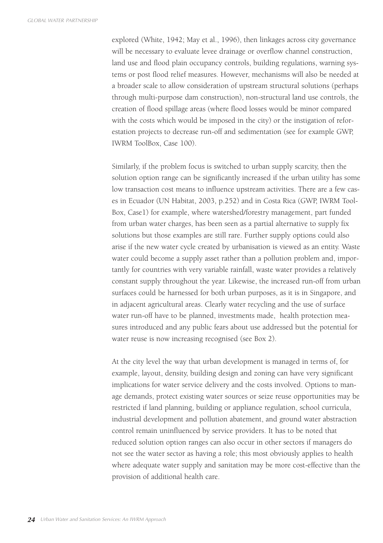explored (White, 1942; May et al., 1996), then linkages across city governance will be necessary to evaluate levee drainage or overflow channel construction, land use and flood plain occupancy controls, building regulations, warning systems or post flood relief measures. However, mechanisms will also be needed at a broader scale to allow consideration of upstream structural solutions (perhaps through multi-purpose dam construction), non-structural land use controls, the creation of flood spillage areas (where flood losses would be minor compared with the costs which would be imposed in the city) or the instigation of reforestation projects to decrease run-off and sedimentation (see for example GWP, IWRM ToolBox, Case 100).

Similarly, if the problem focus is switched to urban supply scarcity, then the solution option range can be significantly increased if the urban utility has some low transaction cost means to influence upstream activities. There are a few cases in Ecuador (UN Habitat, 2003, p.252) and in Costa Rica (GWP, IWRM Tool-Box, Case1) for example, where watershed/forestry management, part funded from urban water charges, has been seen as a partial alternative to supply fix solutions but those examples are still rare. Further supply options could also arise if the new water cycle created by urbanisation is viewed as an entity. Waste water could become a supply asset rather than a pollution problem and, importantly for countries with very variable rainfall, waste water provides a relatively constant supply throughout the year. Likewise, the increased run-off from urban surfaces could be harnessed for both urban purposes, as it is in Singapore, and in adjacent agricultural areas. Clearly water recycling and the use of surface water run-off have to be planned, investments made, health protection measures introduced and any public fears about use addressed but the potential for water reuse is now increasing recognised (see Box 2).

At the city level the way that urban development is managed in terms of, for example, layout, density, building design and zoning can have very significant implications for water service delivery and the costs involved. Options to manage demands, protect existing water sources or seize reuse opportunities may be restricted if land planning, building or appliance regulation, school curricula, industrial development and pollution abatement, and ground water abstraction control remain uninfluenced by service providers. It has to be noted that reduced solution option ranges can also occur in other sectors if managers do not see the water sector as having a role; this most obviously applies to health where adequate water supply and sanitation may be more cost-effective than the provision of additional health care.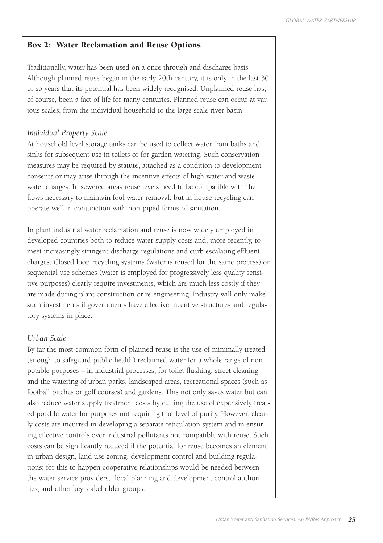## Box 2: Water Reclamation and Reuse Options

Traditionally, water has been used on a once through and discharge basis. Although planned reuse began in the early 20th century, it is only in the last 30 or so years that its potential has been widely recognised. Unplanned reuse has, of course, been a fact of life for many centuries. Planned reuse can occur at various scales, from the individual household to the large scale river basin.

## *Individual Property Scale*

At household level storage tanks can be used to collect water from baths and sinks for subsequent use in toilets or for garden watering. Such conservation measures may be required by statute, attached as a condition to development consents or may arise through the incentive effects of high water and wastewater charges. In sewered areas reuse levels need to be compatible with the flows necessary to maintain foul water removal, but in house recycling can operate well in conjunction with non-piped forms of sanitation.

In plant industrial water reclamation and reuse is now widely employed in developed countries both to reduce water supply costs and, more recently, to meet increasingly stringent discharge regulations and curb escalating effluent charges. Closed loop recycling systems (water is reused for the same process) or sequential use schemes (water is employed for progressively less quality sensitive purposes) clearly require investments, which are much less costly if they are made during plant construction or re-engineering. Industry will only make such investments if governments have effective incentive structures and regulatory systems in place.

## *Urban Scale*

By far the most common form of planned reuse is the use of minimally treated (enough to safeguard public health) reclaimed water for a whole range of nonpotable purposes – in industrial processes, for toilet flushing, street cleaning and the watering of urban parks, landscaped areas, recreational spaces (such as football pitches or golf courses) and gardens. This not only saves water but can also reduce water supply treatment costs by cutting the use of expensively treated potable water for purposes not requiring that level of purity. However, clearly costs are incurred in developing a separate reticulation system and in ensuring effective controls over industrial pollutants not compatible with reuse. Such costs can be significantly reduced if the potential for reuse becomes an element in urban design, land use zoning, development control and building regulations; for this to happen cooperative relationships would be needed between the water service providers, local planning and development control authorities, and other key stakeholder groups.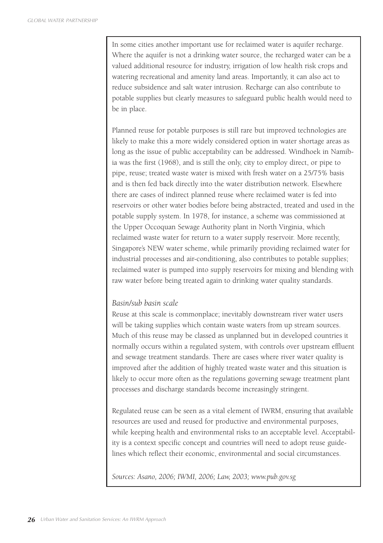In some cities another important use for reclaimed water is aquifer recharge. Where the aquifer is not a drinking water source, the recharged water can be a valued additional resource for industry, irrigation of low health risk crops and watering recreational and amenity land areas. Importantly, it can also act to reduce subsidence and salt water intrusion. Recharge can also contribute to potable supplies but clearly measures to safeguard public health would need to be in place.

Planned reuse for potable purposes is still rare but improved technologies are likely to make this a more widely considered option in water shortage areas as long as the issue of public acceptability can be addressed. Windhoek in Namibia was the first (1968), and is still the only, city to employ direct, or pipe to pipe, reuse; treated waste water is mixed with fresh water on a 25/75% basis and is then fed back directly into the water distribution network. Elsewhere there are cases of indirect planned reuse where reclaimed water is fed into reservoirs or other water bodies before being abstracted, treated and used in the potable supply system. In 1978, for instance, a scheme was commissioned at the Upper Occoquan Sewage Authority plant in North Virginia, which reclaimed waste water for return to a water supply reservoir. More recently, Singapore's NEW water scheme, while primarily providing reclaimed water for industrial processes and air-conditioning, also contributes to potable supplies; reclaimed water is pumped into supply reservoirs for mixing and blending with raw water before being treated again to drinking water quality standards.

#### *Basin/sub basin scale*

Reuse at this scale is commonplace; inevitably downstream river water users will be taking supplies which contain waste waters from up stream sources. Much of this reuse may be classed as unplanned but in developed countries it normally occurs within a regulated system, with controls over upstream effluent and sewage treatment standards. There are cases where river water quality is improved after the addition of highly treated waste water and this situation is likely to occur more often as the regulations governing sewage treatment plant processes and discharge standards become increasingly stringent.

Regulated reuse can be seen as a vital element of IWRM, ensuring that available resources are used and reused for productive and environmental purposes, while keeping health and environmental risks to an acceptable level. Acceptability is a context specific concept and countries will need to adopt reuse guidelines which reflect their economic, environmental and social circumstances.

*Sources: Asano, 2006; IWMI, 2006; Law, 2003; www.pub.gov.sg*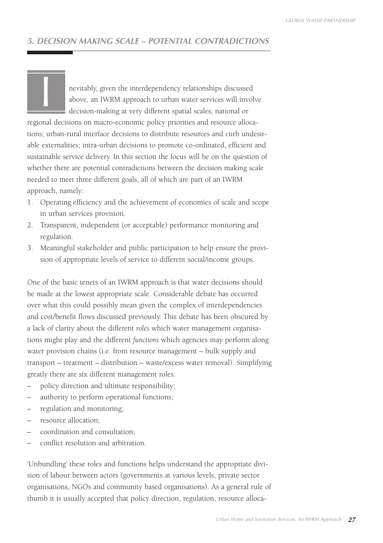## **5. DECISION MAKING SCALE – POTENTIAL CONTRADICTIONS**

nevitably, given the interdependency relationships discussed above, an IWRM approach to urban water services will involve decision-making at very different spatial scales; national or regional decisions on macro-economic policy priorities and resource allocations; urban-rural interface decisions to distribute resources and curb undesirable externalities; intra-urban decisions to promote co-ordinated, efficient and sustainable service delivery. In this section the focus will be on the question of whether there are potential contradictions between the decision making scale needed to meet three different goals, all of which are part of an IWRM approach, namely: I

- 1. Operating efficiency and the achievement of economies of scale and scope in urban services provision.
- 2. Transparent, independent (or acceptable) performance monitoring and regulation.
- 3. Meaningful stakeholder and public participation to help ensure the provision of appropriate levels of service to different social/income groups.

One of the basic tenets of an IWRM approach is that water decisions should be made at the lowest appropriate scale. Considerable debate has occurred over what this could possibly mean given the complex of interdependencies and cost/benefit flows discussed previously. This debate has been obscured by a lack of clarity about the different *roles* which water management organisations might play and the different *functions* which agencies may perform along water provision chains (i.e. from resource management – bulk supply and transport – treatment – distribution – waste/excess water removal). Simplifying greatly there are six different management roles:

- policy direction and ultimate responsibility;
- authority to perform operational functions;
- regulation and monitoring;
- resource allocation;
- coordination and consultation;
- conflict resolution and arbitration.

'Unbundling' these roles and functions helps understand the appropriate division of labour between actors (governments at various levels, private sector organisations, NGOs and community based organisations). As a general rule of thumb it is usually accepted that policy direction, regulation, resource alloca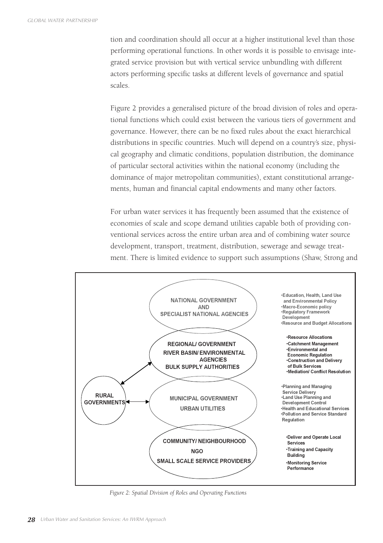tion and coordination should all occur at a higher institutional level than those performing operational functions. In other words it is possible to envisage integrated service provision but with vertical service unbundling with different actors performing specific tasks at different levels of governance and spatial scales.

Figure 2 provides a generalised picture of the broad division of roles and operational functions which could exist between the various tiers of government and governance. However, there can be no fixed rules about the exact hierarchical distributions in specific countries. Much will depend on a country's size, physical geography and climatic conditions, population distribution, the dominance of particular sectoral activities within the national economy (including the dominance of major metropolitan communities), extant constitutional arrangements, human and financial capital endowments and many other factors.

For urban water services it has frequently been assumed that the existence of economies of scale and scope demand utilities capable both of providing conventional services across the entire urban area and of combining water source development, transport, treatment, distribution, sewerage and sewage treatment. There is limited evidence to support such assumptions (Shaw, Strong and



*Figure 2: Spatial Division of Roles and Operating Functions*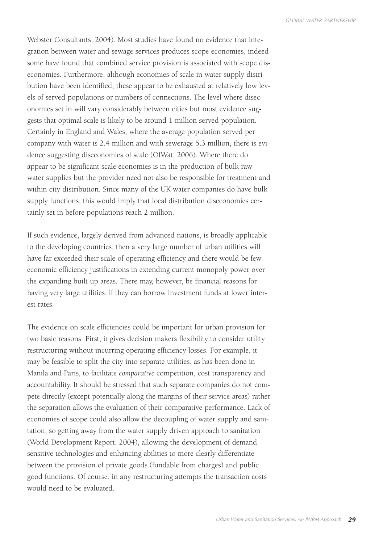Webster Consultants, 2004). Most studies have found no evidence that integration between water and sewage services produces scope economies, indeed some have found that combined service provision is associated with scope diseconomies. Furthermore, although economies of scale in water supply distribution have been identified, these appear to be exhausted at relatively low levels of served populations or numbers of connections. The level where diseconomies set in will vary considerably between cities but most evidence suggests that optimal scale is likely to be around 1 million served population. Certainly in England and Wales, where the average population served per company with water is 2.4 million and with sewerage 5.3 million, there is evidence suggesting diseconomies of scale (OfWat, 2006). Where there do appear to be significant scale economies is in the production of bulk raw water supplies but the provider need not also be responsible for treatment and within city distribution. Since many of the UK water companies do have bulk supply functions, this would imply that local distribution diseconomies certainly set in before populations reach 2 million.

If such evidence, largely derived from advanced nations, is broadly applicable to the developing countries, then a very large number of urban utilities will have far exceeded their scale of operating efficiency and there would be few economic efficiency justifications in extending current monopoly power over the expanding built up areas. There may, however, be financial reasons for having very large utilities, if they can borrow investment funds at lower interest rates.

The evidence on scale efficiencies could be important for urban provision for two basic reasons. First, it gives decision makers flexibility to consider utility restructuring without incurring operating efficiency losses. For example, it may be feasible to split the city into separate utilities, as has been done in Manila and Paris, to facilitate *comparative* competition, cost transparency and accountability. It should be stressed that such separate companies do not compete directly (except potentially along the margins of their service areas) rather the separation allows the evaluation of their comparative performance. Lack of economies of scope could also allow the decoupling of water supply and sanitation, so getting away from the water supply driven approach to sanitation (World Development Report, 2004), allowing the development of demand sensitive technologies and enhancing abilities to more clearly differentiate between the provision of private goods (fundable from charges) and public good functions. Of course, in any restructuring attempts the transaction costs would need to be evaluated.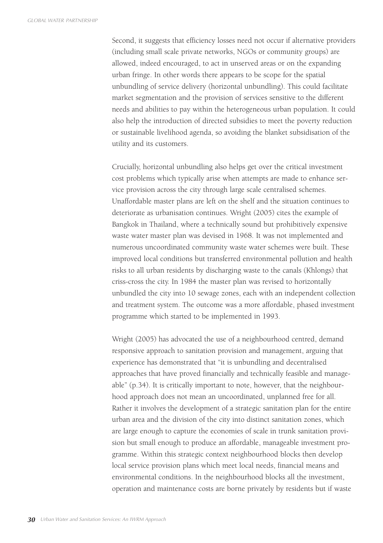Second, it suggests that efficiency losses need not occur if alternative providers (including small scale private networks, NGOs or community groups) are allowed, indeed encouraged, to act in unserved areas or on the expanding urban fringe. In other words there appears to be scope for the spatial unbundling of service delivery (horizontal unbundling). This could facilitate market segmentation and the provision of services sensitive to the different needs and abilities to pay within the heterogeneous urban population. It could also help the introduction of directed subsidies to meet the poverty reduction or sustainable livelihood agenda, so avoiding the blanket subsidisation of the utility and its customers.

Crucially, horizontal unbundling also helps get over the critical investment cost problems which typically arise when attempts are made to enhance service provision across the city through large scale centralised schemes. Unaffordable master plans are left on the shelf and the situation continues to deteriorate as urbanisation continues. Wright (2005) cites the example of Bangkok in Thailand, where a technically sound but prohibitively expensive waste water master plan was devised in 1968. It was not implemented and numerous uncoordinated community waste water schemes were built. These improved local conditions but transferred environmental pollution and health risks to all urban residents by discharging waste to the canals (Khlongs) that criss-cross the city. In 1984 the master plan was revised to horizontally unbundled the city into 10 sewage zones, each with an independent collection and treatment system. The outcome was a more affordable, phased investment programme which started to be implemented in 1993.

Wright (2005) has advocated the use of a neighbourhood centred, demand responsive approach to sanitation provision and management, arguing that experience has demonstrated that "it is unbundling and decentralised approaches that have proved financially and technically feasible and manageable" (p.34). It is critically important to note, however, that the neighbourhood approach does not mean an uncoordinated, unplanned free for all. Rather it involves the development of a strategic sanitation plan for the entire urban area and the division of the city into distinct sanitation zones, which are large enough to capture the economies of scale in trunk sanitation provision but small enough to produce an affordable, manageable investment programme. Within this strategic context neighbourhood blocks then develop local service provision plans which meet local needs, financial means and environmental conditions. In the neighbourhood blocks all the investment, operation and maintenance costs are borne privately by residents but if waste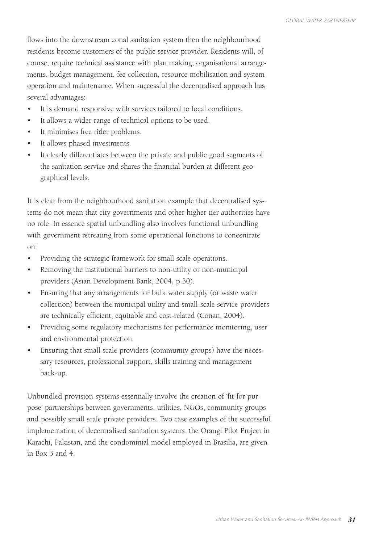flows into the downstream zonal sanitation system then the neighbourhood residents become customers of the public service provider. Residents will, of course, require technical assistance with plan making, organisational arrangements, budget management, fee collection, resource mobilisation and system operation and maintenance. When successful the decentralised approach has several advantages:

- It is demand responsive with services tailored to local conditions.
- It allows a wider range of technical options to be used.
- It minimises free rider problems.
- It allows phased investments.
- It clearly differentiates between the private and public good segments of the sanitation service and shares the financial burden at different geographical levels.

It is clear from the neighbourhood sanitation example that decentralised systems do not mean that city governments and other higher tier authorities have no role. In essence spatial unbundling also involves functional unbundling with government retreating from some operational functions to concentrate on:

- Providing the strategic framework for small scale operations.
- Removing the institutional barriers to non-utility or non-municipal providers (Asian Development Bank, 2004, p.30).
- Ensuring that any arrangements for bulk water supply (or waste water collection) between the municipal utility and small-scale service providers are technically efficient, equitable and cost-related (Conan, 2004).
- Providing some regulatory mechanisms for performance monitoring, user and environmental protection.
- Ensuring that small scale providers (community groups) have the necessary resources, professional support, skills training and management back-up.

Unbundled provision systems essentially involve the creation of 'fit-for-purpose' partnerships between governments, utilities, NGOs, community groups and possibly small scale private providers. Two case examples of the successful implementation of decentralised sanitation systems, the Orangi Pilot Project in Karachi, Pakistan, and the condominial model employed in Brasilia, are given in Box 3 and 4.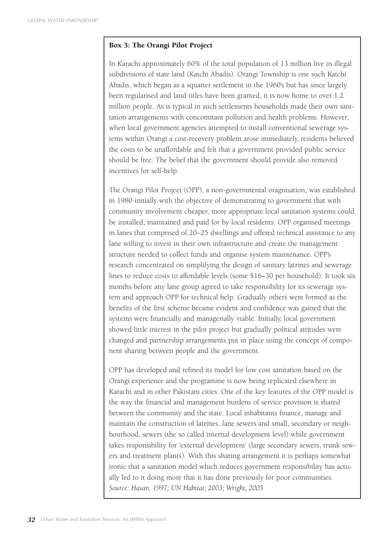#### Box 3: The Orangi Pilot Project

In Karachi approximately 60% of the total population of 13 million live in illegal subdivisions of state land (Katchi Abadis). Orangi Township is one such Katchi Abadis, which began as a squatter settlement in the 1960's but has since largely been regularised and land titles have been granted, it is now home to over 1.2 million people. As is typical in such settlements households made their own sanitation arrangements with concomitant pollution and health problems. However, when local government agencies attempted to install conventional sewerage systems within Orangi a cost-recovery problem arose immediately, residents believed the costs to be unaffordable and felt that a government provided public service should be free. The belief that the government should provide also removed incentives for self-help.

The Orangi Pilot Project (OPP), a non-governmental oragnisation, was established in 1980 initially with the objective of demonstrating to government that with community involvement cheaper, more appropriate local sanitation systems could be installed, maintained and paid for by local residents. OPP organised meetings in lanes that comprised of 20–25 dwellings and offered technical assistance to any lane willing to invest in their own infrastructure and create the management structure needed to collect funds and organise system maintenance. OPP's research concentrated on simplifying the design of sanitary latrines and sewerage lines to reduce costs to affordable levels (some \$16–30 per household). It took six months before any lane group agreed to take responsibility for its sewerage system and approach OPP for technical help. Gradually others were formed as the benefits of the first scheme became evident and confidence was gained that the systems were financially and managerially viable. Initially, local government showed little interest in the pilot project but gradually political attitudes were changed and partnership arrangements put in place using the concept of component sharing between people and the government.

OPP has developed and refined its model for low cost sanitation based on the Orangi experience and the programme is now being replicated elsewhere in Karachi and in other Pakistani cities. One of the key features of the OPP model is the way the financial and management burdens of service provision is shared between the community and the state. Local inhabitants finance, manage and maintain the construction of latrines, lane sewers and small, secondary or neighbourhood, sewers (the so called internal development level) while government takes responsibility for 'external development' (large secondary sewers, trunk sewers and treatment plants). With this sharing arrangement it is perhaps somewhat ironic that a sanitation model which reduces government responsibility has actually led to it doing more that it has done previously for poor communities. *Source: Hasan, 1997; UN Habitat, 2003; Wright, 2005*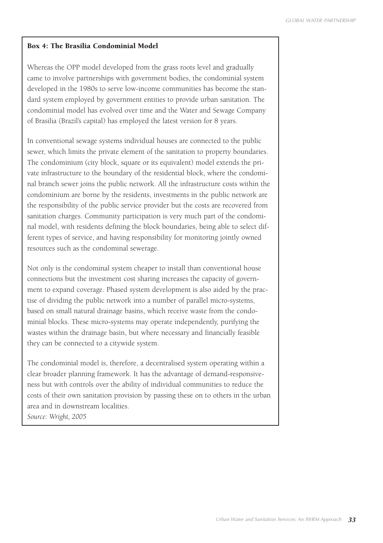#### Box 4: The Brasilia Condominial Model

Whereas the OPP model developed from the grass roots level and gradually came to involve partnerships with government bodies, the condominial system developed in the 1980s to serve low-income communities has become the standard system employed by government entities to provide urban sanitation. The condominial model has evolved over time and the Water and Sewage Company of Brasilia (Brazil's capital) has employed the latest version for 8 years.

In conventional sewage systems individual houses are connected to the public sewer, which limits the private element of the sanitation to property boundaries. The condominium (city block, square or its equivalent) model extends the private infrastructure to the boundary of the residential block, where the condominal branch sewer joins the public network. All the infrastructure costs within the condominium are borne by the residents, investments in the public network are the responsibility of the public service provider but the costs are recovered from sanitation charges. Community participation is very much part of the condominal model, with residents defining the block boundaries, being able to select different types of service, and having responsibility for monitoring jointly owned resources such as the condominal sewerage.

Not only is the condominal system cheaper to install than conventional house connections but the investment cost sharing increases the capacity of government to expand coverage. Phased system development is also aided by the practise of dividing the public network into a number of parallel micro-systems, based on small natural drainage basins, which receive waste from the condominial blocks. These micro-systems may operate independently, purifying the wastes within the drainage basin, but where necessary and financially feasible they can be connected to a citywide system.

The condominial model is, therefore, a decentralised system operating within a clear broader planning framework. It has the advantage of demand-responsiveness but with controls over the ability of individual communities to reduce the costs of their own sanitation provision by passing these on to others in the urban area and in downstream localities. *Source: Wright, 2005*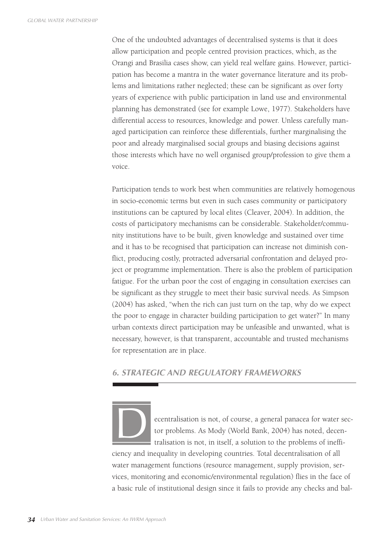One of the undoubted advantages of decentralised systems is that it does allow participation and people centred provision practices, which, as the Orangi and Brasilia cases show, can yield real welfare gains. However, participation has become a mantra in the water governance literature and its problems and limitations rather neglected; these can be significant as over forty years of experience with public participation in land use and environmental planning has demonstrated (see for example Lowe, 1977). Stakeholders have differential access to resources, knowledge and power. Unless carefully managed participation can reinforce these differentials, further marginalising the poor and already marginalised social groups and biasing decisions against those interests which have no well organised group/profession to give them a voice.

Participation tends to work best when communities are relatively homogenous in socio-economic terms but even in such cases community or participatory institutions can be captured by local elites (Cleaver, 2004). In addition, the costs of participatory mechanisms can be considerable. Stakeholder/community institutions have to be built, given knowledge and sustained over time and it has to be recognised that participation can increase not diminish conflict, producing costly, protracted adversarial confrontation and delayed project or programme implementation. There is also the problem of participation fatigue. For the urban poor the cost of engaging in consultation exercises can be significant as they struggle to meet their basic survival needs. As Simpson (2004) has asked, "when the rich can just turn on the tap, why do we expect the poor to engage in character building participation to get water?" In many urban contexts direct participation may be unfeasible and unwanted, what is necessary, however, is that transparent, accountable and trusted mechanisms for representation are in place.

## **6. STRATEGIC AND REGULATORY FRAMEWORKS**



ecentralisation is not, of course, a general panacea for water sector problems. As Mody (World Bank, 2004) has noted, decentralisation is not, in itself, a solution to the problems of ineffi-

ciency and inequality in developing countries. Total decentralisation of all water management functions (resource management, supply provision, services, monitoring and economic/environmental regulation) flies in the face of a basic rule of institutional design since it fails to provide any checks and bal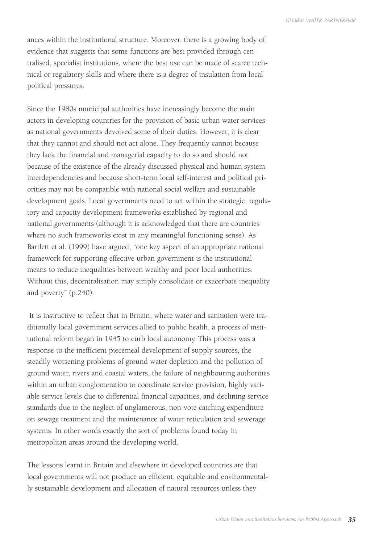ances within the institutional structure. Moreover, there is a growing body of evidence that suggests that some functions are best provided through centralised, specialist institutions, where the best use can be made of scarce technical or regulatory skills and where there is a degree of insulation from local political pressures.

Since the 1980s municipal authorities have increasingly become the main actors in developing countries for the provision of basic urban water services as national governments devolved some of their duties. However, it is clear that they cannot and should not act alone. They frequently cannot because they lack the financial and managerial capacity to do so and should not because of the existence of the already discussed physical and human system interdependencies and because short-term local self-interest and political priorities may not be compatible with national social welfare and sustainable development goals. Local governments need to act within the strategic, regulatory and capacity development frameworks established by regional and national governments (although it is acknowledged that there are countries where no such frameworks exist in any meaningful functioning sense). As Bartlett et al. (1999) have argued, "one key aspect of an appropriate national framework for supporting effective urban government is the institutional means to reduce inequalities between wealthy and poor local authorities. Without this, decentralisation may simply consolidate or exacerbate inequality and poverty" (p.240).

It is instructive to reflect that in Britain, where water and sanitation were traditionally local government services allied to public health, a process of institutional reform began in 1945 to curb local autonomy. This process was a response to the inefficient piecemeal development of supply sources, the steadily worsening problems of ground water depletion and the pollution of ground water, rivers and coastal waters, the failure of neighbouring authorities within an urban conglomeration to coordinate service provision, highly variable service levels due to differential financial capacities, and declining service standards due to the neglect of unglamorous, non-vote catching expenditure on sewage treatment and the maintenance of water reticulation and sewerage systems. In other words exactly the sort of problems found today in metropolitan areas around the developing world.

The lessons learnt in Britain and elsewhere in developed countries are that local governments will not produce an efficient, equitable and environmentally sustainable development and allocation of natural resources unless they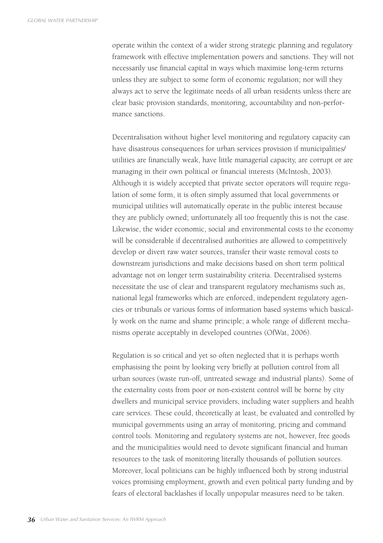operate within the context of a wider strong strategic planning and regulatory framework with effective implementation powers and sanctions. They will not necessarily use financial capital in ways which maximise long-term returns unless they are subject to some form of economic regulation; nor will they always act to serve the legitimate needs of all urban residents unless there are clear basic provision standards, monitoring, accountability and non-performance sanctions.

Decentralisation without higher level monitoring and regulatory capacity can have disastrous consequences for urban services provision if municipalities/ utilities are financially weak, have little managerial capacity, are corrupt or are managing in their own political or financial interests (McIntosh, 2003). Although it is widely accepted that private sector operators will require regulation of some form, it is often simply assumed that local governments or municipal utilities will automatically operate in the public interest because they are publicly owned; unfortunately all too frequently this is not the case. Likewise, the wider economic, social and environmental costs to the economy will be considerable if decentralised authorities are allowed to competitively develop or divert raw water sources, transfer their waste removal costs to downstream jurisdictions and make decisions based on short term political advantage not on longer term sustainability criteria. Decentralised systems necessitate the use of clear and transparent regulatory mechanisms such as, national legal frameworks which are enforced, independent regulatory agencies or tribunals or various forms of information based systems which basically work on the name and shame principle; a whole range of different mechanisms operate acceptably in developed countries (OfWat, 2006).

Regulation is so critical and yet so often neglected that it is perhaps worth emphasising the point by looking very briefly at pollution control from all urban sources (waste run-off, untreated sewage and industrial plants). Some of the externality costs from poor or non-existent control will be borne by city dwellers and municipal service providers, including water suppliers and health care services. These could, theoretically at least, be evaluated and controlled by municipal governments using an array of monitoring, pricing and command control tools. Monitoring and regulatory systems are not, however, free goods and the municipalities would need to devote significant financial and human resources to the task of monitoring literally thousands of pollution sources. Moreover, local politicians can be highly influenced both by strong industrial voices promising employment, growth and even political party funding and by fears of electoral backlashes if locally unpopular measures need to be taken.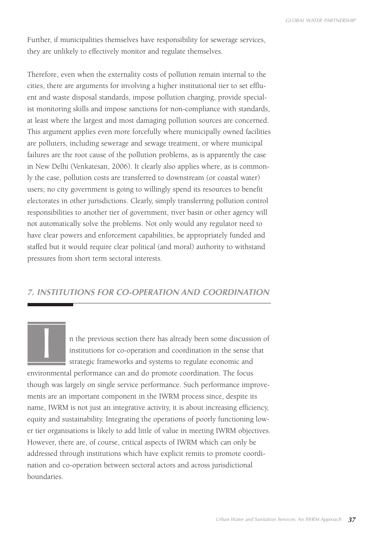Further, if municipalities themselves have responsibility for sewerage services, they are unlikely to effectively monitor and regulate themselves.

Therefore, even when the externality costs of pollution remain internal to the cities, there are arguments for involving a higher institutional tier to set effluent and waste disposal standards, impose pollution charging, provide specialist monitoring skills and impose sanctions for non-compliance with standards, at least where the largest and most damaging pollution sources are concerned. This argument applies even more forcefully where municipally owned facilities are polluters, including sewerage and sewage treatment, or where municipal failures are the root cause of the pollution problems, as is apparently the case in New Delhi (Venkatesan, 2006). It clearly also applies where, as is commonly the case, pollution costs are transferred to downstream (or coastal water) users; no city government is going to willingly spend its resources to benefit electorates in other jurisdictions. Clearly, simply transferring pollution control responsibilities to another tier of government, river basin or other agency will not automatically solve the problems. Not only would any regulator need to have clear powers and enforcement capabilities, be appropriately funded and staffed but it would require clear political (and moral) authority to withstand pressures from short term sectoral interests.

## **7. INSTITUTIONS FOR CO-OPERATION AND COORDINATION**

n the previous section there has already been some discussion of institutions for co-operation and coordination in the sense that strategic frameworks and systems to regulate economic and environmental performance can and do promote coordination. The focus though was largely on single service performance. Such performance improvements are an important component in the IWRM process since, despite its name, IWRM is not just an integrative activity, it is about increasing efficiency, equity and sustainability. Integrating the operations of poorly functioning lower tier organisations is likely to add little of value in meeting IWRM objectives. However, there are, of course, critical aspects of IWRM which can only be addressed through institutions which have explicit remits to promote coordination and co-operation between sectoral actors and across jurisdictional boundaries. I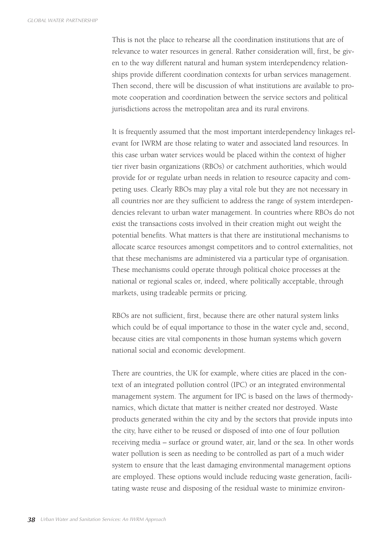This is not the place to rehearse all the coordination institutions that are of relevance to water resources in general. Rather consideration will, first, be given to the way different natural and human system interdependency relationships provide different coordination contexts for urban services management. Then second, there will be discussion of what institutions are available to promote cooperation and coordination between the service sectors and political jurisdictions across the metropolitan area and its rural environs.

It is frequently assumed that the most important interdependency linkages relevant for IWRM are those relating to water and associated land resources. In this case urban water services would be placed within the context of higher tier river basin organizations (RBOs) or catchment authorities, which would provide for or regulate urban needs in relation to resource capacity and competing uses. Clearly RBOs may play a vital role but they are not necessary in all countries nor are they sufficient to address the range of system interdependencies relevant to urban water management. In countries where RBOs do not exist the transactions costs involved in their creation might out weight the potential benefits. What matters is that there are institutional mechanisms to allocate scarce resources amongst competitors and to control externalities, not that these mechanisms are administered via a particular type of organisation. These mechanisms could operate through political choice processes at the national or regional scales or, indeed, where politically acceptable, through markets, using tradeable permits or pricing.

RBOs are not sufficient, first, because there are other natural system links which could be of equal importance to those in the water cycle and, second, because cities are vital components in those human systems which govern national social and economic development.

There are countries, the UK for example, where cities are placed in the context of an integrated pollution control (IPC) or an integrated environmental management system. The argument for IPC is based on the laws of thermodynamics, which dictate that matter is neither created nor destroyed. Waste products generated within the city and by the sectors that provide inputs into the city, have either to be reused or disposed of into one of four pollution receiving media – surface or ground water, air, land or the sea. In other words water pollution is seen as needing to be controlled as part of a much wider system to ensure that the least damaging environmental management options are employed. These options would include reducing waste generation, facilitating waste reuse and disposing of the residual waste to minimize environ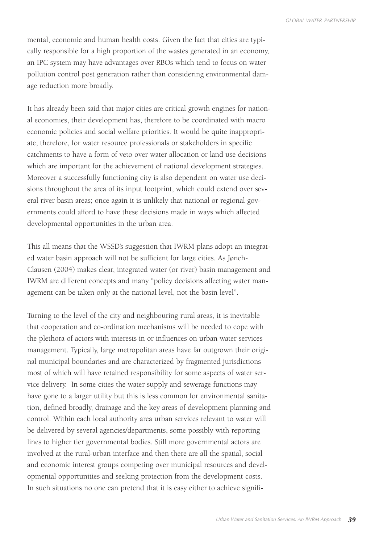mental, economic and human health costs. Given the fact that cities are typically responsible for a high proportion of the wastes generated in an economy, an IPC system may have advantages over RBOs which tend to focus on water pollution control post generation rather than considering environmental damage reduction more broadly.

It has already been said that major cities are critical growth engines for national economies, their development has, therefore to be coordinated with macro economic policies and social welfare priorities. It would be quite inappropriate, therefore, for water resource professionals or stakeholders in specific catchments to have a form of veto over water allocation or land use decisions which are important for the achievement of national development strategies. Moreover a successfully functioning city is also dependent on water use decisions throughout the area of its input footprint, which could extend over several river basin areas; once again it is unlikely that national or regional governments could afford to have these decisions made in ways which affected developmental opportunities in the urban area.

This all means that the WSSD's suggestion that IWRM plans adopt an integrated water basin approach will not be sufficient for large cities. As Jønch-Clausen (2004) makes clear, integrated water (or river) basin management and IWRM are different concepts and many "policy decisions affecting water management can be taken only at the national level, not the basin level".

Turning to the level of the city and neighbouring rural areas, it is inevitable that cooperation and co-ordination mechanisms will be needed to cope with the plethora of actors with interests in or influences on urban water services management. Typically, large metropolitan areas have far outgrown their original municipal boundaries and are characterized by fragmented jurisdictions most of which will have retained responsibility for some aspects of water service delivery. In some cities the water supply and sewerage functions may have gone to a larger utility but this is less common for environmental sanitation, defined broadly, drainage and the key areas of development planning and control. Within each local authority area urban services relevant to water will be delivered by several agencies/departments, some possibly with reporting lines to higher tier governmental bodies. Still more governmental actors are involved at the rural-urban interface and then there are all the spatial, social and economic interest groups competing over municipal resources and developmental opportunities and seeking protection from the development costs. In such situations no one can pretend that it is easy either to achieve signifi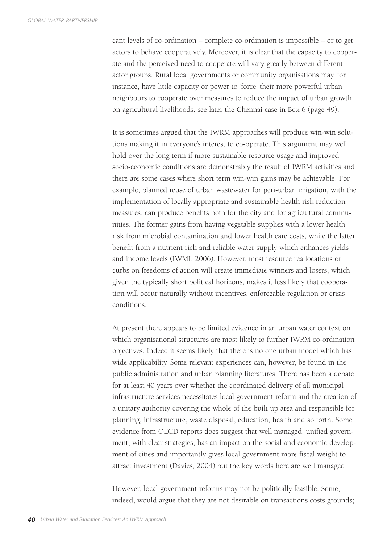cant levels of co-ordination – complete co-ordination is impossible – or to get actors to behave cooperatively. Moreover, it is clear that the capacity to cooperate and the perceived need to cooperate will vary greatly between different actor groups. Rural local governments or community organisations may, for instance, have little capacity or power to 'force' their more powerful urban neighbours to cooperate over measures to reduce the impact of urban growth on agricultural livelihoods, see later the Chennai case in Box 6 (page 49).

It is sometimes argued that the IWRM approaches will produce win-win solutions making it in everyone's interest to co-operate. This argument may well hold over the long term if more sustainable resource usage and improved socio-economic conditions are demonstrably the result of IWRM activities and there are some cases where short term win-win gains may be achievable. For example, planned reuse of urban wastewater for peri-urban irrigation, with the implementation of locally appropriate and sustainable health risk reduction measures, can produce benefits both for the city and for agricultural communities. The former gains from having vegetable supplies with a lower health risk from microbial contamination and lower health care costs, while the latter benefit from a nutrient rich and reliable water supply which enhances yields and income levels (IWMI, 2006). However, most resource reallocations or curbs on freedoms of action will create immediate winners and losers, which given the typically short political horizons, makes it less likely that cooperation will occur naturally without incentives, enforceable regulation or crisis conditions.

At present there appears to be limited evidence in an urban water context on which organisational structures are most likely to further IWRM co-ordination objectives. Indeed it seems likely that there is no one urban model which has wide applicability. Some relevant experiences can, however, be found in the public administration and urban planning literatures. There has been a debate for at least 40 years over whether the coordinated delivery of all municipal infrastructure services necessitates local government reform and the creation of a unitary authority covering the whole of the built up area and responsible for planning, infrastructure, waste disposal, education, health and so forth. Some evidence from OECD reports does suggest that well managed, unified government, with clear strategies, has an impact on the social and economic development of cities and importantly gives local government more fiscal weight to attract investment (Davies, 2004) but the key words here are well managed.

However, local government reforms may not be politically feasible. Some, indeed, would argue that they are not desirable on transactions costs grounds;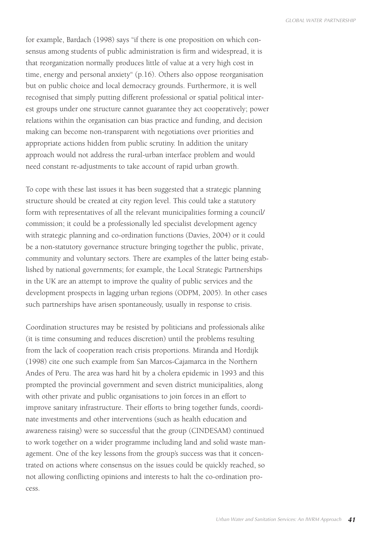for example, Bardach (1998) says "if there is one proposition on which consensus among students of public administration is firm and widespread, it is that reorganization normally produces little of value at a very high cost in time, energy and personal anxiety" (p.16). Others also oppose reorganisation but on public choice and local democracy grounds. Furthermore, it is well recognised that simply putting different professional or spatial political interest groups under one structure cannot guarantee they act cooperatively; power relations within the organisation can bias practice and funding, and decision making can become non-transparent with negotiations over priorities and appropriate actions hidden from public scrutiny. In addition the unitary approach would not address the rural-urban interface problem and would need constant re-adjustments to take account of rapid urban growth.

To cope with these last issues it has been suggested that a strategic planning structure should be created at city region level. This could take a statutory form with representatives of all the relevant municipalities forming a council/ commission; it could be a professionally led specialist development agency with strategic planning and co-ordination functions (Davies, 2004) or it could be a non-statutory governance structure bringing together the public, private, community and voluntary sectors. There are examples of the latter being established by national governments; for example, the Local Strategic Partnerships in the UK are an attempt to improve the quality of public services and the development prospects in lagging urban regions (ODPM, 2005). In other cases such partnerships have arisen spontaneously, usually in response to crisis.

Coordination structures may be resisted by politicians and professionals alike (it is time consuming and reduces discretion) until the problems resulting from the lack of cooperation reach crisis proportions. Miranda and Hordijk (1998) cite one such example from San Marcos-Cajamarca in the Northern Andes of Peru. The area was hard hit by a cholera epidemic in 1993 and this prompted the provincial government and seven district municipalities, along with other private and public organisations to join forces in an effort to improve sanitary infrastructure. Their efforts to bring together funds, coordinate investments and other interventions (such as health education and awareness raising) were so successful that the group (CINDESAM) continued to work together on a wider programme including land and solid waste management. One of the key lessons from the group's success was that it concentrated on actions where consensus on the issues could be quickly reached, so not allowing conflicting opinions and interests to halt the co-ordination process.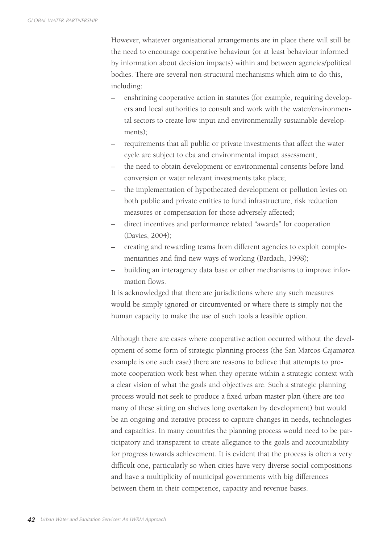However, whatever organisational arrangements are in place there will still be the need to encourage cooperative behaviour (or at least behaviour informed by information about decision impacts) within and between agencies/political bodies. There are several non-structural mechanisms which aim to do this, including:

- enshrining cooperative action in statutes (for example, requiring developers and local authorities to consult and work with the water/environmental sectors to create low input and environmentally sustainable developments);
- requirements that all public or private investments that affect the water cycle are subject to cba and environmental impact assessment;
- the need to obtain development or environmental consents before land conversion or water relevant investments take place;
- the implementation of hypothecated development or pollution levies on both public and private entities to fund infrastructure, risk reduction measures or compensation for those adversely affected;
- direct incentives and performance related "awards" for cooperation (Davies, 2004);
- creating and rewarding teams from different agencies to exploit complementarities and find new ways of working (Bardach, 1998);
- building an interagency data base or other mechanisms to improve information flows.

It is acknowledged that there are jurisdictions where any such measures would be simply ignored or circumvented or where there is simply not the human capacity to make the use of such tools a feasible option.

Although there are cases where cooperative action occurred without the development of some form of strategic planning process (the San Marcos-Cajamarca example is one such case) there are reasons to believe that attempts to promote cooperation work best when they operate within a strategic context with a clear vision of what the goals and objectives are. Such a strategic planning process would not seek to produce a fixed urban master plan (there are too many of these sitting on shelves long overtaken by development) but would be an ongoing and iterative process to capture changes in needs, technologies and capacities. In many countries the planning process would need to be participatory and transparent to create allegiance to the goals and accountability for progress towards achievement. It is evident that the process is often a very difficult one, particularly so when cities have very diverse social compositions and have a multiplicity of municipal governments with big differences between them in their competence, capacity and revenue bases.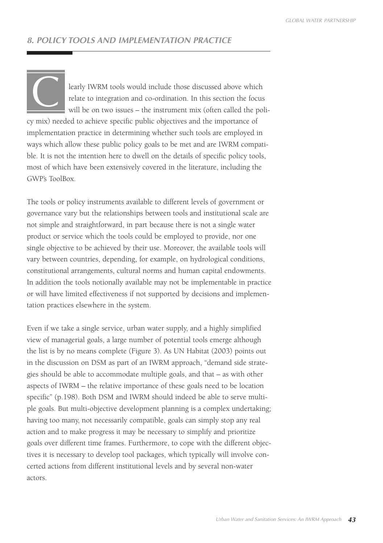learly IWRM tools would include those discussed above which relate to integration and co-ordination. In this section the focus will be on two issues – the instrument mix (often called the policy mix) needed to achieve specific public objectives and the importance of implementation practice in determining whether such tools are employed in ways which allow these public policy goals to be met and are IWRM compatible. It is not the intention here to dwell on the details of specific policy tools, most of which have been extensively covered in the literature, including the GWP's ToolBox. C

The tools or policy instruments available to different levels of government or governance vary but the relationships between tools and institutional scale are not simple and straightforward, in part because there is not a single water product or service which the tools could be employed to provide, nor one single objective to be achieved by their use. Moreover, the available tools will vary between countries, depending, for example, on hydrological conditions, constitutional arrangements, cultural norms and human capital endowments. In addition the tools notionally available may not be implementable in practice or will have limited effectiveness if not supported by decisions and implementation practices elsewhere in the system.

Even if we take a single service, urban water supply, and a highly simplified view of managerial goals, a large number of potential tools emerge although the list is by no means complete (Figure 3). As UN Habitat (2003) points out in the discussion on DSM as part of an IWRM approach, "demand side strategies should be able to accommodate multiple goals, and that – as with other aspects of IWRM – the relative importance of these goals need to be location specific" (p.198). Both DSM and IWRM should indeed be able to serve multiple goals. But multi-objective development planning is a complex undertaking; having too many, not necessarily compatible, goals can simply stop any real action and to make progress it may be necessary to simplify and prioritize goals over different time frames. Furthermore, to cope with the different objectives it is necessary to develop tool packages, which typically will involve concerted actions from different institutional levels and by several non-water actors.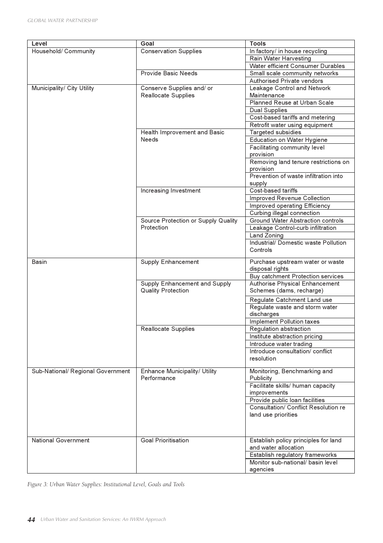| Level                             | Goal                                                       | Tools                                                      |
|-----------------------------------|------------------------------------------------------------|------------------------------------------------------------|
| Household/ Community              | <b>Conservation Supplies</b>                               | In factory/ in house recycling                             |
|                                   |                                                            | Rain Water Harvesting                                      |
|                                   |                                                            | Water efficient Consumer Durables                          |
|                                   | Provide Basic Needs                                        | Small scale community networks                             |
|                                   |                                                            | Authorised Private vendors                                 |
| Municipality/ City Utility        | Conserve Supplies and/ or<br>Reallocate Supplies           | Leakage Control and Network<br>Maintenance                 |
|                                   |                                                            | Planned Reuse at Urban Scale                               |
|                                   |                                                            | Dual Supplies                                              |
|                                   |                                                            | Cost-based tariffs and metering                            |
|                                   |                                                            | Retrofit water using equipment                             |
|                                   | Health Improvement and Basic<br><b>Needs</b>               | <b>Targeted subsidies</b>                                  |
|                                   |                                                            | Education on Water Hygiene                                 |
|                                   |                                                            | Facilitating community level                               |
|                                   |                                                            | provision                                                  |
|                                   |                                                            | Removing land tenure restrictions on                       |
|                                   |                                                            | provision                                                  |
|                                   |                                                            | Prevention of waste infiltration into                      |
|                                   |                                                            | supply<br>Cost-based tariffs                               |
|                                   | Increasing Investment                                      | Improved Revenue Collection                                |
|                                   |                                                            | Improved operating Efficiency                              |
|                                   |                                                            | Curbing illegal connection                                 |
|                                   | Source Protection or Supply Quality                        | Ground Water Abstraction controls                          |
|                                   | Protection                                                 | Leakage Control-curb infiltration                          |
|                                   |                                                            | Land Zoning                                                |
|                                   |                                                            | Industrial/ Domestic waste Pollution                       |
|                                   |                                                            | Controls                                                   |
| Basin                             | Supply Enhancement                                         | Purchase upstream water or waste                           |
|                                   |                                                            | disposal rights                                            |
|                                   |                                                            | Buy catchment Protection services                          |
|                                   | Supply Enhancement and Supply<br><b>Quality Protection</b> | Authorise Physical Enhancement<br>Schemes (dams, recharge) |
|                                   |                                                            | Regulate Catchment Land use                                |
|                                   |                                                            | Regulate waste and storm water<br>discharges               |
|                                   |                                                            | Implement Pollution taxes                                  |
|                                   | Reallocate Supplies                                        | Regulation abstraction                                     |
|                                   |                                                            | Institute abstraction pricing                              |
|                                   |                                                            | Introduce water trading                                    |
|                                   |                                                            | Introduce consultation/ conflict                           |
|                                   |                                                            | resolution                                                 |
| Sub-National/ Regional Government | Enhance Municipality/ Utility<br>Performance               | Monitoring, Benchmarking and                               |
|                                   |                                                            | Publicity                                                  |
|                                   |                                                            | Facilitate skills/ human capacity<br>improvements          |
|                                   |                                                            | Provide public loan facilities                             |
|                                   |                                                            | Consultation/ Conflict Resolution re                       |
|                                   |                                                            | land use priorities                                        |
|                                   |                                                            |                                                            |
|                                   |                                                            |                                                            |
| National Government               | <b>Goal Prioritisation</b>                                 | Establish policy principles for land                       |
|                                   |                                                            | and water allocation                                       |
|                                   |                                                            | Establish regulatory frameworks                            |
|                                   |                                                            | Monitor sub-national/ basin level                          |
|                                   |                                                            | agencies                                                   |

*Figure 3: Urban Water Supplies: Institutional Level, Goals and Tools*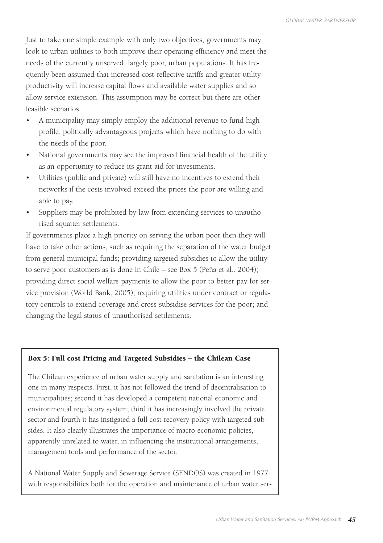Just to take one simple example with only two objectives, governments may look to urban utilities to both improve their operating efficiency and meet the needs of the currently unserved, largely poor, urban populations. It has frequently been assumed that increased cost-reflective tariffs and greater utility productivity will increase capital flows and available water supplies and so allow service extension. This assumption may be correct but there are other feasible scenarios:

- A municipality may simply employ the additional revenue to fund high profile, politically advantageous projects which have nothing to do with the needs of the poor.
- National governments may see the improved financial health of the utility as an opportunity to reduce its grant aid for investments.
- Utilities (public and private) will still have no incentives to extend their networks if the costs involved exceed the prices the poor are willing and able to pay.
- Suppliers may be prohibited by law from extending services to unauthorised squatter settlements.

If governments place a high priority on serving the urban poor then they will have to take other actions, such as requiring the separation of the water budget from general municipal funds; providing targeted subsidies to allow the utility to serve poor customers as is done in Chile – see Box 5 (Peña et al., 2004); providing direct social welfare payments to allow the poor to better pay for service provision (World Bank, 2005); requiring utilities under contract or regulatory controls to extend coverage and cross-subsidise services for the poor; and changing the legal status of unauthorised settlements.

#### Box 5: Full cost Pricing and Targeted Subsidies – the Chilean Case

The Chilean experience of urban water supply and sanitation is an interesting one in many respects. First, it has not followed the trend of decentralisation to municipalities; second it has developed a competent national economic and environmental regulatory system; third it has increasingly involved the private sector and fourth it has instigated a full cost recovery policy with targeted subsides. It also clearly illustrates the importance of macro-economic policies, apparently unrelated to water, in influencing the institutional arrangements, management tools and performance of the sector.

A National Water Supply and Sewerage Service (SENDOS) was created in 1977 with responsibilities both for the operation and maintenance of urban water ser-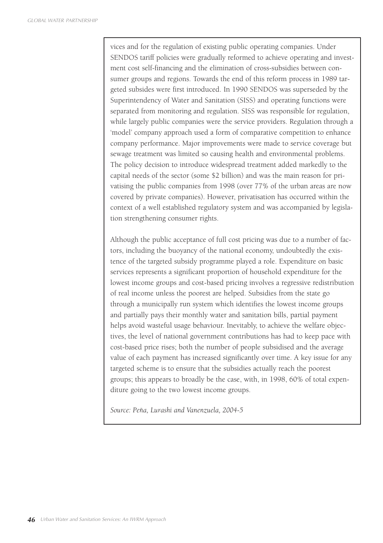vices and for the regulation of existing public operating companies. Under SENDOS tariff policies were gradually reformed to achieve operating and investment cost self-financing and the elimination of cross-subsidies between consumer groups and regions. Towards the end of this reform process in 1989 targeted subsides were first introduced. In 1990 SENDOS was superseded by the Superintendency of Water and Sanitation (SISS) and operating functions were separated from monitoring and regulation. SISS was responsible for regulation, while largely public companies were the service providers. Regulation through a 'model' company approach used a form of comparative competition to enhance company performance. Major improvements were made to service coverage but sewage treatment was limited so causing health and environmental problems. The policy decision to introduce widespread treatment added markedly to the capital needs of the sector (some \$2 billion) and was the main reason for privatising the public companies from 1998 (over 77% of the urban areas are now covered by private companies). However, privatisation has occurred within the context of a well established regulatory system and was accompanied by legislation strengthening consumer rights.

Although the public acceptance of full cost pricing was due to a number of factors, including the buoyancy of the national economy, undoubtedly the existence of the targeted subsidy programme played a role. Expenditure on basic services represents a significant proportion of household expenditure for the lowest income groups and cost-based pricing involves a regressive redistribution of real income unless the poorest are helped. Subsidies from the state go through a municipally run system which identifies the lowest income groups and partially pays their monthly water and sanitation bills, partial payment helps avoid wasteful usage behaviour. Inevitably, to achieve the welfare objectives, the level of national government contributions has had to keep pace with cost-based price rises; both the number of people subsidised and the average value of each payment has increased significantly over time. A key issue for any targeted scheme is to ensure that the subsidies actually reach the poorest groups; this appears to broadly be the case, with, in 1998, 60% of total expenditure going to the two lowest income groups.

*Source: Peña, Lurashi and Vanenzuela, 2004-5*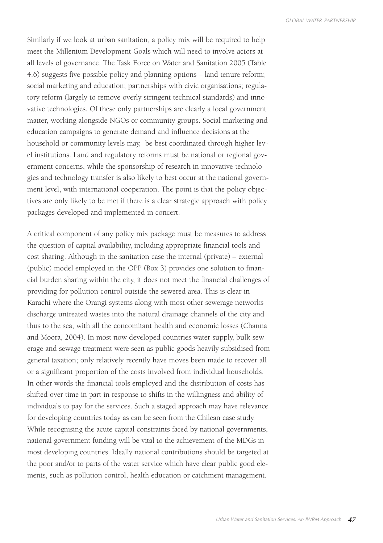Similarly if we look at urban sanitation, a policy mix will be required to help meet the Millenium Development Goals which will need to involve actors at all levels of governance. The Task Force on Water and Sanitation 2005 (Table 4.6) suggests five possible policy and planning options – land tenure reform; social marketing and education; partnerships with civic organisations; regulatory reform (largely to remove overly stringent technical standards) and innovative technologies. Of these only partnerships are clearly a local government matter, working alongside NGOs or community groups. Social marketing and education campaigns to generate demand and influence decisions at the household or community levels may, be best coordinated through higher level institutions. Land and regulatory reforms must be national or regional government concerns, while the sponsorship of research in innovative technologies and technology transfer is also likely to best occur at the national government level, with international cooperation. The point is that the policy objectives are only likely to be met if there is a clear strategic approach with policy packages developed and implemented in concert.

A critical component of any policy mix package must be measures to address the question of capital availability, including appropriate financial tools and cost sharing. Although in the sanitation case the internal (private) – external (public) model employed in the OPP (Box 3) provides one solution to financial burden sharing within the city, it does not meet the financial challenges of providing for pollution control outside the sewered area. This is clear in Karachi where the Orangi systems along with most other sewerage networks discharge untreated wastes into the natural drainage channels of the city and thus to the sea, with all the concomitant health and economic losses (Channa and Moora, 2004). In most now developed countries water supply, bulk sewerage and sewage treatment were seen as public goods heavily subsidised from general taxation; only relatively recently have moves been made to recover all or a significant proportion of the costs involved from individual households. In other words the financial tools employed and the distribution of costs has shifted over time in part in response to shifts in the willingness and ability of individuals to pay for the services. Such a staged approach may have relevance for developing countries today as can be seen from the Chilean case study. While recognising the acute capital constraints faced by national governments, national government funding will be vital to the achievement of the MDGs in most developing countries. Ideally national contributions should be targeted at the poor and/or to parts of the water service which have clear public good elements, such as pollution control, health education or catchment management.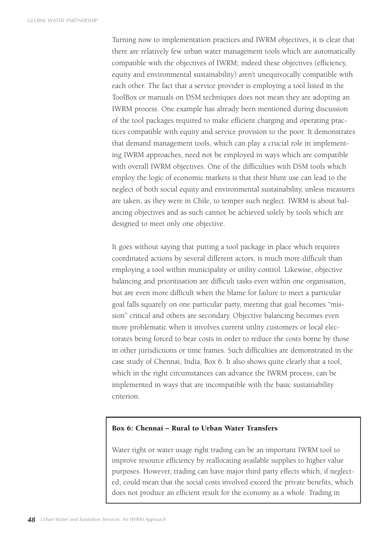Turning now to implementation practices and IWRM objectives, it is clear that there are relatively few urban water management tools which are automatically compatible with the objectives of IWRM; indeed these objectives (efficiency, equity and environmental sustainability) aren't unequivocally compatible with each other. The fact that a service provider is employing a tool listed in the ToolBox or manuals on DSM techniques does not mean they are adopting an IWRM process. One example has already been mentioned during discussion of the tool packages required to make efficient charging and operating practices compatible with equity and service provision to the poor. It demonstrates that demand management tools, which can play a crucial role in implementing IWRM approaches, need not be employed in ways which are compatible with overall IWRM objectives. One of the difficulties with DSM tools which employ the logic of economic markets is that their blunt use can lead to the neglect of both social equity and environmental sustainability, unless measures are taken, as they were in Chile, to temper such neglect. IWRM is about balancing objectives and as such cannot be achieved solely by tools which are designed to meet only one objective.

It goes without saying that putting a tool package in place which requires coordinated actions by several different actors, is much more difficult than employing a tool within municipality or utility control. Likewise, objective balancing and prioritisation are difficult tasks even within one organisation, but are even more difficult when the blame for failure to meet a particular goal falls squarely on one particular party, meeting that goal becomes "mission" critical and others are secondary. Objective balancing becomes even more problematic when it involves current utility customers or local electorates being forced to bear costs in order to reduce the costs borne by those in other jurisdictions or time frames. Such difficulties are demonstrated in the case study of Chennai, India, Box 6. It also shows quite clearly that a tool, which in the right circumstances can advance the IWRM process, can be implemented in ways that are incompatible with the basic sustainability criterion.

#### Box 6: Chennai – Rural to Urban Water Transfers

Water right or water usage right trading can be an important IWRM tool to improve resource efficiency by reallocating available supplies to higher value purposes. However, trading can have major third party effects which, if neglected, could mean that the social costs involved exceed the private benefits, which does not produce an efficient result for the economy as a whole. Trading in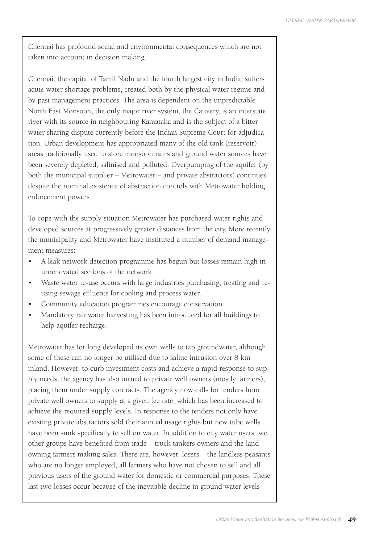Chennai has profound social and environmental consequences which are not taken into account in decision making.

Chennai, the capital of Tamil Nadu and the fourth largest city in India, suffers acute water shortage problems, created both by the physical water regime and by past management practices. The area is dependent on the unpredictable North East Monsoon; the only major river system, the Cauvery, is an interstate river with its source in neighbouring Kamataka and is the subject of a bitter water sharing dispute currently before the Indian Supreme Court for adjudication. Urban development has appropriated many of the old tank (reservoir) areas traditionally used to store monsoon rains and ground water sources have been severely depleted, salinised and polluted. Overpumping of the aquifer (by both the municipal supplier – Metrowater – and private abstractors) continues despite the nominal existence of abstraction controls with Metrowater holding enforcement powers.

To cope with the supply situation Metrowater has purchased water rights and developed sources at progressively greater distances from the city. More recently the municipality and Metrowater have instituted a number of demand management measures:

- A leak network detection programme has begun but losses remain high in unrenovated sections of the network.
- Waste water re-use occurs with large industries purchasing, treating and reusing sewage effluents for cooling and process water.
- Community education programmes encourage conservation.
- Mandatory rainwater harvesting has been introduced for all buildings to help aquifer recharge.

Metrowater has for long developed its own wells to tap groundwater, although some of these can no longer be utilised due to saline intrusion over 8 km inland. However, to curb investment costs and achieve a rapid response to supply needs, the agency has also turned to private well owners (mostly farmers), placing them under supply contracts. The agency now calls for tenders from private well owners to supply at a given fee rate, which has been increased to achieve the required supply levels. In response to the tenders not only have existing private abstractors sold their annual usage rights but new tube wells have been sunk specifically to sell on water. In addition to city water users two other groups have benefited from trade – truck tankers owners and the land owning farmers making sales. There are, however, losers – the landless peasants who are no longer employed, all farmers who have not chosen to sell and all previous users of the ground water for domestic or commercial purposes. These last two losses occur because of the inevitable decline in ground water levels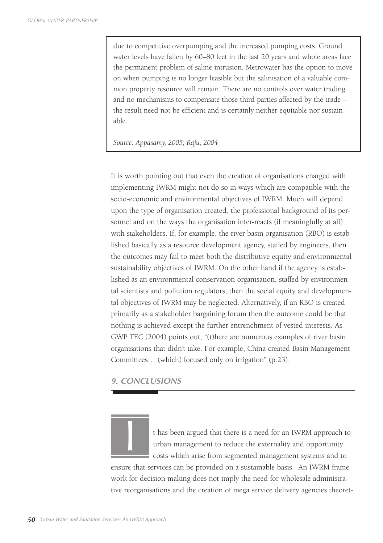due to competitive overpumping and the increased pumping costs. Ground water levels have fallen by 60–80 feet in the last 20 years and whole areas face the permanent problem of saline intrusion. Metrowater has the option to move on when pumping is no longer feasible but the salinisation of a valuable common property resource will remain. There are no controls over water trading and no mechanisms to compensate those third parties affected by the trade – the result need not be efficient and is certainly neither equitable nor sustainable.

*Source: Appasamy, 2005; Raju, 2004*

It is worth pointing out that even the creation of organisations charged with implementing IWRM might not do so in ways which are compatible with the socio-economic and environmental objectives of IWRM. Much will depend upon the type of organisation created, the professional background of its personnel and on the ways the organisation inter-reacts (if meaningfully at all) with stakeholders. If, for example, the river basin organisation (RBO) is established basically as a resource development agency, staffed by engineers, then the outcomes may fail to meet both the distributive equity and environmental sustainability objectives of IWRM. On the other hand if the agency is established as an environmental conservation organisation, staffed by environmental scientists and pollution regulators, then the social equity and developmental objectives of IWRM may be neglected. Alternatively, if an RBO is created primarily as a stakeholder bargaining forum then the outcome could be that nothing is achieved except the further entrenchment of vested interests. As GWP TEC (2004) points out, "(t)here are numerous examples of river basin organisations that didn't take. For example, China created Basin Management Committees… (which) focused only on irrigation" (p.23).

#### **9. CONCLUSIONS**



t has been argued that there is a need for an IWRM approach to urban management to reduce the externality and opportunity costs which arise from segmented management systems and to

ensure that services can be provided on a sustainable basis. An IWRM framework for decision making does not imply the need for wholesale administrative reorganisations and the creation of mega service delivery agencies theoret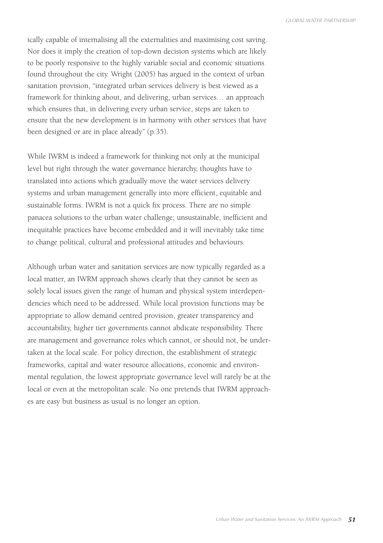ically capable of internalising all the externalities and maximising cost saving. Nor does it imply the creation of top-down decision systems which are likely to be poorly responsive to the highly variable social and economic situations found throughout the city. Wright (2005) has argued in the context of urban sanitation provision, "integrated urban services delivery is best viewed as a framework for thinking about, and delivering, urban services… an approach which ensures that, in delivering every urban service, steps are taken to ensure that the new development is in harmony with other services that have been designed or are in place already" (p.35).

While IWRM is indeed a framework for thinking not only at the municipal level but right through the water governance hierarchy, thoughts have to translated into actions which gradually move the water services delivery systems and urban management generally into more efficient, equitable and sustainable forms. IWRM is not a quick fix process. There are no simple panacea solutions to the urban water challenge; unsustainable, inefficient and inequitable practices have become embedded and it will inevitably take time to change political, cultural and professional attitudes and behaviours.

Although urban water and sanitation services are now typically regarded as a local matter, an IWRM approach shows clearly that they cannot be seen as solely local issues given the range of human and physical system interdependencies which need to be addressed. While local provision functions may be appropriate to allow demand centred provision, greater transparency and accountability, higher tier governments cannot abdicate responsibility. There are management and governance roles which cannot, or should not, be undertaken at the local scale. For policy direction, the establishment of strategic frameworks, capital and water resource allocations, economic and environmental regulation, the lowest appropriate governance level will rarely be at the local or even at the metropolitan scale. No one pretends that IWRM approaches are easy but business as usual is no longer an option.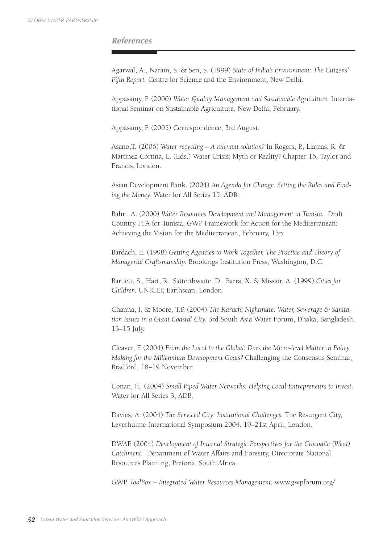## **References**

Agarwal, A., Narain, S. & Sen, S. (1999) *State of India's Environment: The Citizens' Fifth Report.* Centre for Science and the Environment, New Delhi.

Appasamy, P. (2000) *Water Quality Management and Sustainable Agriculture.* International Seminar on Sustainable Agriculture, New Delhi, February.

Appasamy, P. (2005) Correspondence, 3rd August.

Asano,T. (2006) *Water recycling – A relevant solution?* In Rogers, P., Llamas, R. & Martinez-Cortina, L. (Eds.) Water Crisis; Myth or Reality? Chapter 16, Taylor and Francis, London.

Asian Development Bank. (2004) *An Agenda for Change. Setting the Rules and Finding the Money.* Water for All Series 15, ADB.

Bahri, A. (2000) *Water Resources Development and Management in Tunisia.* Draft Country FFA for Tunisia, GWP Framework for Action for the Mediterranean: Achieving the Vision for the Mediterranean, February, 15p.

Bardach, E. (1998) *Getting Agencies to Work Together, The Practice and Theory of Managerial Craftsmanship.* Brookings Institution Press, Washington, D.C.

Bartlett, S., Hart, R., Satterthwaite, D., Barra, X. & Missair, A. (1999) *Cities for Children.* UNICEF, Earthscan, London.

Channa, I. & Moore, T.P. (2004) *The Karachi Nightmare: Water, Sewerage & Sanitation Issues in a Giant Coastal City.* 3rd South Asia Water Forum, Dhaka, Bangladesh, 13–15 July.

Cleaver, F. (2004) *From the Local to the Global: Does the Micro-level Matter in Policy Making for the Millennium Development Goals?* Challenging the Consensus Seminar, Bradford, 18–19 November.

Conan, H. (2004) *Small Piped Water Networks: Helping Local Entrepreneurs to Invest.* Water for All Series 3, ADB.

Davies, A. (2004) *The Serviced City: Institutional Challenges.* The Resurgent City, Leverhulme International Symposium 2004, 19–21st April, London.

DWAF. (2004) *Development of Internal Strategic Perspectives for the Crocodile (Weat) Catchment.* Department of Water Affairs and Forestry, Directorate National Resources Planning, Pretoria, South Africa.

GWP. *ToolBox – Integrated Water Resources Management.* www.gwpforum.org/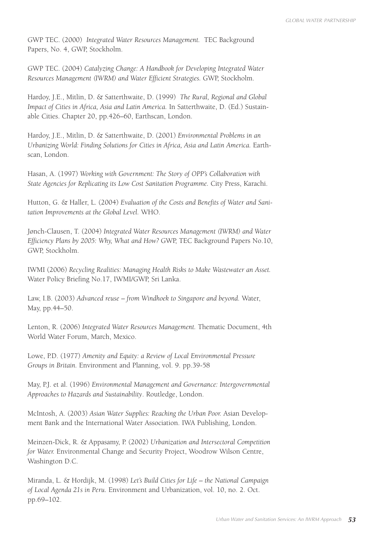GWP TEC. (2000) *Integrated Water Resources Management.* TEC Background Papers, No. 4, GWP, Stockholm.

GWP TEC. (2004) *Catalyzing Change: A Handbook for Developing Integrated Water Resources Management (IWRM) and Water Efficient Strategies.* GWP, Stockholm.

Hardoy, J.E., Mitlin, D. & Satterthwaite, D. (1999) *The Rural, Regional and Global Impact of Cities in Africa, Asia and Latin America.* In Satterthwaite, D. (Ed.) Sustainable Cities. Chapter 20, pp.426–60, Earthscan, London.

Hardoy, J.E., Mitlin, D. & Satterthwaite, D. (2001) *Environmental Problems in an Urbanizing World: Finding Solutions for Cities in Africa, Asia and Latin America.* Earthscan, London.

Hasan, A. (1997) *Working with Government: The Story of OPP's Collaboration with State Agencies for Replicating its Low Cost Sanitation Programme.* City Press, Karachi.

Hutton, G. & Haller, L. (2004) *Evaluation of the Costs and Benefits of Water and Sanitation Improvements at the Global Level.* WHO.

Jønch-Clausen, T. (2004) *Integrated Water Resources Management (IWRM) and Water Efficiency Plans by 2005: Why, What and How?* GWP, TEC Background Papers No.10, GWP, Stockholm.

IWMI (2006) *Recycling Realities: Managing Health Risks to Make Wastewater an Asset.* Water Policy Briefing No.17, IWMI/GWP, Sri Lanka.

Law, I.B. (2003) *Advanced reuse – from Windhoek to Singapore and beyond.* Water, May, pp.44–50.

Lenton, R. (2006) *Integrated Water Resources Management.* Thematic Document, 4th World Water Forum, March, Mexico.

Lowe, P.D. (1977) *Amenity and Equity: a Review of Local Environmental Pressure Groups in Britain.* Environment and Planning, vol. 9. pp.39-58

May, P.J. et al. (1996) *Environmental Management and Governance: Intergovernmental Approaches to Hazards and Sustainability*. Routledge, London.

McIntosh, A. (2003) *Asian Water Supplies: Reaching the Urban Poor.* Asian Development Bank and the International Water Association. IWA Publishing, London.

Meinzen-Dick, R. & Appasamy, P. (2002) *Urbanization and Intersectoral Competition for Water.* Environmental Change and Security Project, Woodrow Wilson Centre, Washington D.C.

Miranda, L. & Hordijk, M. (1998) *Let's Build Cities for Life – the National Campaign of Local Agenda 21s in Peru.* Environment and Urbanization, vol. 10, no. 2. Oct. pp.69–102.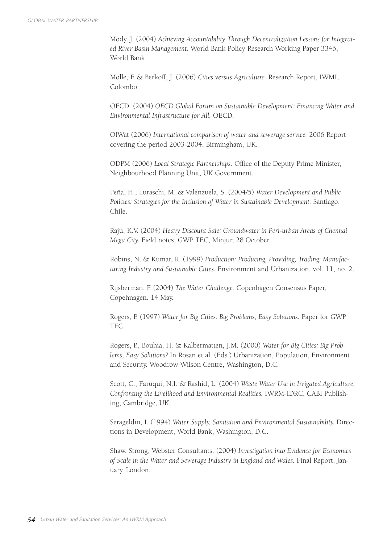Mody, J. (2004) *Achieving Accountability Through Decentralization Lessons for Integrated River Basin Management.* World Bank Policy Research Working Paper 3346, World Bank.

Molle, F. & Berkoff, J. (2006) *Cities versus Agriculture.* Research Report, IWMI, Colombo.

OECD. (2004) *OECD Global Forum on Sustainable Development: Financing Water and Environmental Infrastructure for All.* OECD.

OfWat (2006) *International comparison of water and sewerage service.* 2006 Report covering the period 2003-2004, Birmingham, UK.

ODPM (2006) *Local Strategic Partnerships.* Office of the Deputy Prime Minister, Neighbourhood Planning Unit, UK Government.

Peña, H., Luraschi, M. & Valenzuela, S. (2004/5) *Water Development and Public Policies: Strategies for the Inclusion of Water in Sustainable Development.* Santiago, Chile.

Raju, K.V. (2004) *Heavy Discount Sale: Groundwater in Peri-urban Areas of Chennai Mega City.* Field notes, GWP TEC, Minjur, 28 October.

Robins, N. & Kumar, R. (1999) *Production: Producing, Providing, Trading: Manufacturing Industry and Sustainable Cities.* Environment and Urbanization. vol. 11, no. 2.

Rijsberman, F. (2004) *The Water Challenge.* Copenhagen Consensus Paper, Copehnagen. 14 May.

Rogers, P. (1997) *Water for Big Cities: Big Problems, Easy Solutions.* Paper for GWP TEC.

Rogers, P., Bouhia, H. & Kalbermatten, J.M. (2000) *Water for Big Cities: Big Problems, Easy Solutions?* In Rosan et al. (Eds.) Urbanization, Population, Environment and Security. Woodrow Wilson Centre, Washington, D.C.

Scott, C., Faruqui, N.I. & Rashid, L. (2004) *Waste Water Use in Irrigated Agriculture, Confronting the Livelihood and Environmental Realities.* IWRM-IDRC, CABI Publishing, Cambridge, UK.

Serageldin, I. (1994) *Water Supply, Sanitation and Environmental Sustainability.* Directions in Development, World Bank, Washington, D.C.

Shaw, Strong, Webster Consultants. (2004) *Investigation into Evidence for Economies of Scale in the Water and Sewerage Industry in England and Wales.* Final Report, January. London.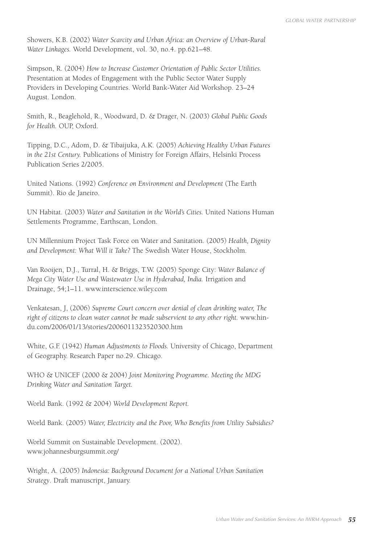Showers, K.B. (2002) *Water Scarcity and Urban Africa: an Overview of Urban-Rural Water Linkages.* World Development, vol. 30, no.4. pp.621–48.

Simpson, R. (2004) *How to Increase Customer Orientation of Public Sector Utilities.* Presentation at Modes of Engagement with the Public Sector Water Supply Providers in Developing Countries. World Bank-Water Aid Workshop. 23–24 August. London.

Smith, R., Beaglehold, R., Woodward, D. & Drager, N. (2003) *Global Public Goods for Health.* OUP, Oxford.

Tipping, D.C., Adom, D. & Tibaijuka, A.K. (2005) *Achieving Healthy Urban Futures in the 21st Century.* Publications of Ministry for Foreign Affairs, Helsinki Process Publication Series 2/2005.

United Nations. (1992) *Conference on Environment and Development* (The Earth Summit). Rio de Janeiro.

UN Habitat. (2003) *Water and Sanitation in the World's Cities.* United Nations Human Settlements Programme, Earthscan, London.

UN Millennium Project Task Force on Water and Sanitation. (2005) *Health, Dignity and Development: What Will it Take?* The Swedish Water House, Stockholm.

Van Rooijen, D.J., Turral, H. & Briggs, T.W. (2005) Sponge City: *Water Balance of Mega City Water Use and Wastewater Use in Hyderabad, India.* Irrigation and Drainage, 54;1–11. www.interscience.wiley.com

Venkatesan, J, (2006) *Supreme Court concern over denial of clean drinking water, The right of citizens to clean water cannot be made subservient to any other right.* www.hindu.com/2006/01/13/stories/2006011323520300.htm

White, G.F. (1942) *Human Adjustments to Floods.* University of Chicago, Department of Geography. Research Paper no.29. Chicago.

WHO & UNICEF (2000 & 2004) *Joint Monitoring Programme. Meeting the MDG Drinking Water and Sanitation Target.*

World Bank. (1992 & 2004) *World Development Report.*

World Bank. (2005) *Water, Electricity and the Poor, Who Benefits from Utility Subsidies?*

World Summit on Sustainable Development. (2002). www.johannesburgsummit.org/

Wright, A. (2005) *Indonesia: Background Document for a National Urban Sanitation Strategy*. Draft manuscript, January.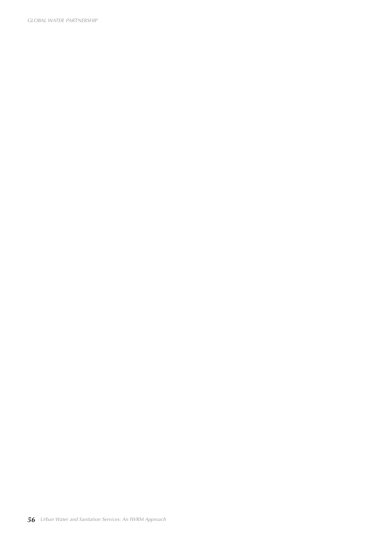GLOBAL WATER PARTNERSHIP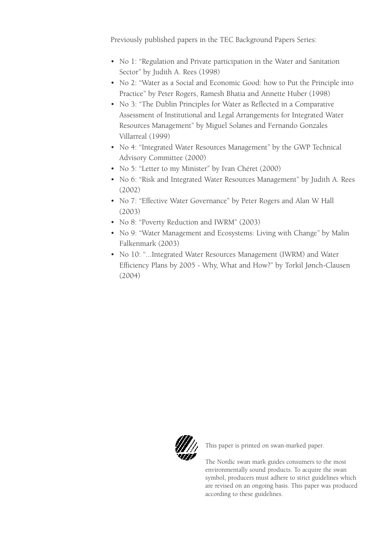Previously published papers in the TEC Background Papers Series:

- No 1: "Regulation and Private participation in the Water and Sanitation Sector" by Judith A. Rees (1998)
- No 2: "Water as a Social and Economic Good: how to Put the Principle into Practice" by Peter Rogers, Ramesh Bhatia and Annette Huber (1998)
- No 3: "The Dublin Principles for Water as Reflected in a Comparative Assessment of Institutional and Legal Arrangements for Integrated Water Resources Management" by Miguel Solanes and Fernando Gonzales Villarreal (1999)
- No 4: "Integrated Water Resources Management" by the GWP Technical Advisory Committee (2000)
- No 5: "Letter to my Minister" by Ivan Chéret (2000)
- No 6: "Risk and Integrated Water Resources Management" by Judith A. Rees (2002)
- No 7: "Effective Water Governance" by Peter Rogers and Alan W Hall (2003)
- No 8: "Poverty Reduction and IWRM" (2003)
- No 9: "Water Management and Ecosystems: Living with Change" by Malin Falkenmark (2003)
- No 10: "...Integrated Water Resources Management (IWRM) and Water Efficiency Plans by 2005 - Why, What and How?" by Torkil Jønch-Clausen (2004)



This paper is printed on swan-marked paper.

The Nordic swan mark guides consumers to the most environmentally sound products. To acquire the swan symbol, producers must adhere to strict guidelines which are revised on an ongoing basis. This paper was produced according to these guidelines.